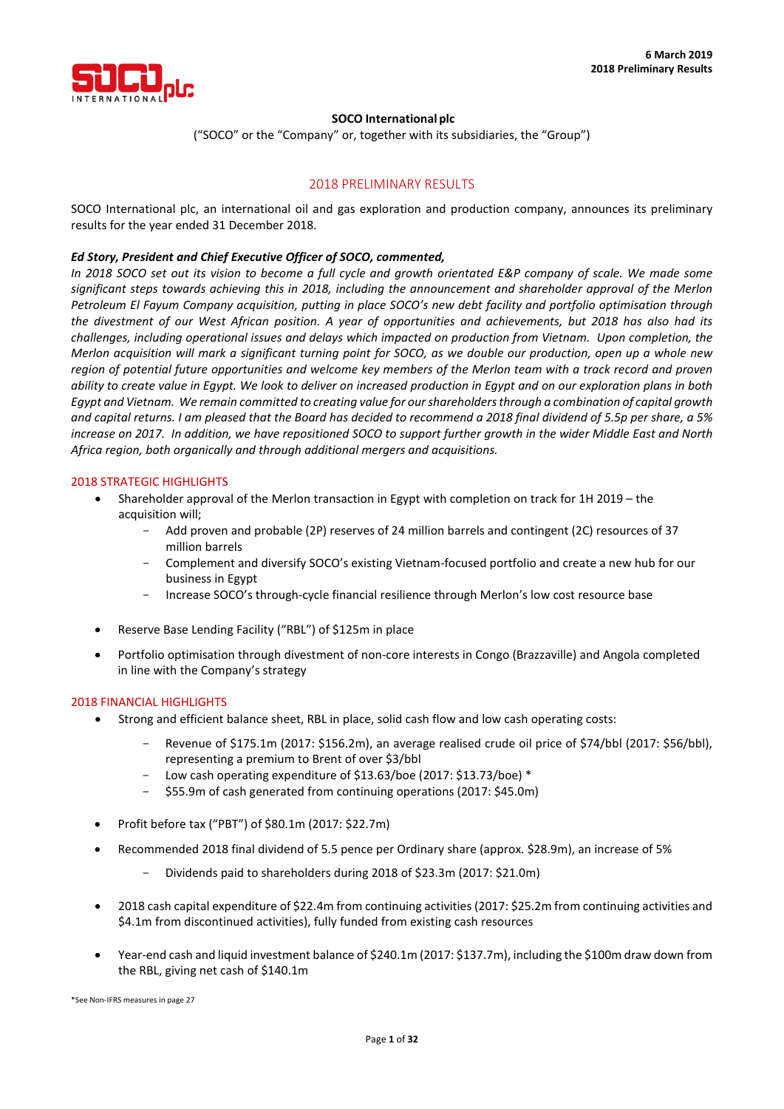

# **SOCO International plc**

("SOCO" or the "Company" or, together with its subsidiaries, the "Group")

# 2018 PRELIMINARY RESULTS

SOCO International plc, an international oil and gas exploration and production company, announces its preliminary results for the year ended 31 December 2018.

# *Ed Story, President and Chief Executive Officer of SOCO, commented,*

*In 2018 SOCO set out its vision to become a full cycle and growth orientated E&P company of scale. We made some significant steps towards achieving this in 2018, including the announcement and shareholder approval of the Merlon Petroleum El Fayum Company acquisition, putting in place SOCO's new debt facility and portfolio optimisation through the divestment of our West African position. A year of opportunities and achievements, but 2018 has also had its challenges, including operational issues and delays which impacted on production from Vietnam. Upon completion, the Merlon acquisition will mark a significant turning point for SOCO, as we double our production, open up a whole new region of potential future opportunities and welcome key members of the Merlon team with a track record and proven ability to create value in Egypt. We look to deliver on increased production in Egypt and on our exploration plans in both Egypt and Vietnam. We remain committed to creating value for our shareholders through a combination of capital growth and capital returns. I am pleased that the Board has decided to recommend a 2018 final dividend of 5.5p per share, a 5% increase on 2017. In addition, we have repositioned SOCO to support further growth in the wider Middle East and North Africa region, both organically and through additional mergers and acquisitions.*

### 2018 STRATEGIC HIGHLIGHTS

- Shareholder approval of the Merlon transaction in Egypt with completion on track for 1H 2019 the acquisition will;
	- Add proven and probable (2P) reserves of 24 million barrels and contingent (2C) resources of 37 million barrels
	- Complement and diversify SOCO's existing Vietnam-focused portfolio and create a new hub for our business in Egypt
	- Increase SOCO's through-cycle financial resilience through Merlon's low cost resource base
- Reserve Base Lending Facility ("RBL") of \$125m in place
- Portfolio optimisation through divestment of non-core interests in Congo (Brazzaville) and Angola completed in line with the Company's strategy

### 2018 FINANCIAL HIGHLIGHTS

- Strong and efficient balance sheet, RBL in place, solid cash flow and low cash operating costs:
	- Revenue of \$175.1m (2017: \$156.2m), an average realised crude oil price of \$74/bbl (2017: \$56/bbl), representing a premium to Brent of over \$3/bbl
	- Low cash operating expenditure of \$13.63/boe (2017: \$13.73/boe) \*
	- \$55.9m of cash generated from continuing operations (2017: \$45.0m)
- Profit before tax ("PBT") of \$80.1m (2017: \$22.7m)
- Recommended 2018 final dividend of 5.5 pence per Ordinary share (approx. \$28.9m), an increase of 5%
	- Dividends paid to shareholders during 2018 of \$23.3m (2017: \$21.0m)
- 2018 cash capital expenditure of \$22.4m from continuing activities (2017: \$25.2m from continuing activities and \$4.1m from discontinued activities), fully funded from existing cash resources
- Year-end cash and liquid investment balance of \$240.1m (2017: \$137.7m), including the \$100m draw down from the RBL, giving net cash of \$140.1m

\*See Non-IFRS measures in page 27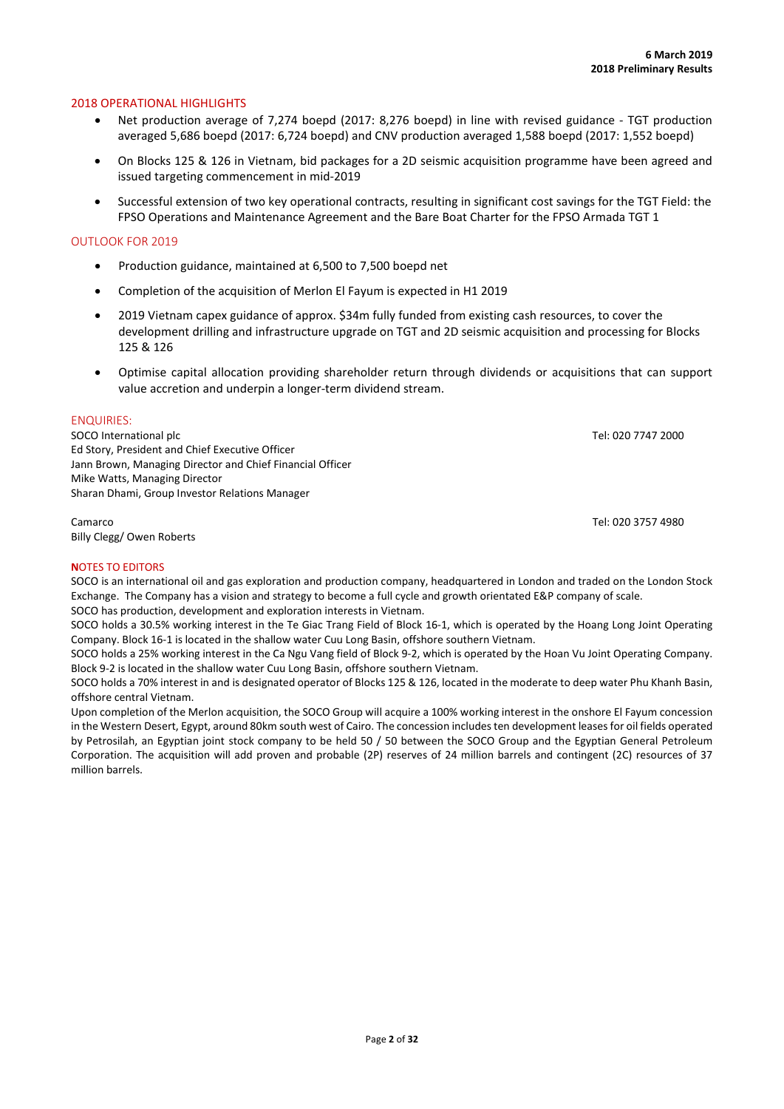### 2018 OPERATIONAL HIGHLIGHTS

- Net production average of 7,274 boepd (2017: 8,276 boepd) in line with revised guidance TGT production averaged 5,686 boepd (2017: 6,724 boepd) and CNV production averaged 1,588 boepd (2017: 1,552 boepd)
- On Blocks 125 & 126 in Vietnam, bid packages for a 2D seismic acquisition programme have been agreed and issued targeting commencement in mid-2019
- Successful extension of two key operational contracts, resulting in significant cost savings for the TGT Field: the FPSO Operations and Maintenance Agreement and the Bare Boat Charter for the FPSO Armada TGT 1

### OUTLOOK FOR 2019

- Production guidance, maintained at 6,500 to 7,500 boepd net
- Completion of the acquisition of Merlon El Fayum is expected in H1 2019
- 2019 Vietnam capex guidance of approx. \$34m fully funded from existing cash resources, to cover the development drilling and infrastructure upgrade on TGT and 2D seismic acquisition and processing for Blocks 125 & 126
- Optimise capital allocation providing shareholder return through dividends or acquisitions that can support value accretion and underpin a longer-term dividend stream.

### ENQUIRIES:

SOCO International plc Tel: 020 7747 2000 Ed Story, President and Chief Executive Officer Jann Brown, Managing Director and Chief Financial Officer Mike Watts, Managing Director Sharan Dhami, Group Investor Relations Manager

Camarco Tel: 020 3757 4980 Billy Clegg/ Owen Roberts

### **N**OTES TO EDITORS

SOCO is an international oil and gas exploration and production company, headquartered in London and traded on the London Stock Exchange. The Company has a vision and strategy to become a full cycle and growth orientated E&P company of scale. SOCO has production, development and exploration interests in Vietnam.

SOCO holds a 30.5% working interest in the Te Giac Trang Field of Block 16-1, which is operated by the Hoang Long Joint Operating Company. Block 16-1 is located in the shallow water Cuu Long Basin, offshore southern Vietnam.

SOCO holds a 25% working interest in the Ca Ngu Vang field of Block 9-2, which is operated by the Hoan Vu Joint Operating Company. Block 9-2 is located in the shallow water Cuu Long Basin, offshore southern Vietnam.

SOCO holds a 70% interest in and is designated operator of Blocks 125 & 126, located in the moderate to deep water Phu Khanh Basin, offshore central Vietnam.

Upon completion of the Merlon acquisition, the SOCO Group will acquire a 100% working interest in the onshore El Fayum concession in the Western Desert, Egypt, around 80km south west of Cairo. The concession includes ten development leases for oil fields operated by Petrosilah, an Egyptian joint stock company to be held 50 / 50 between the SOCO Group and the Egyptian General Petroleum Corporation. The acquisition will add proven and probable (2P) reserves of 24 million barrels and contingent (2C) resources of 37 million barrels.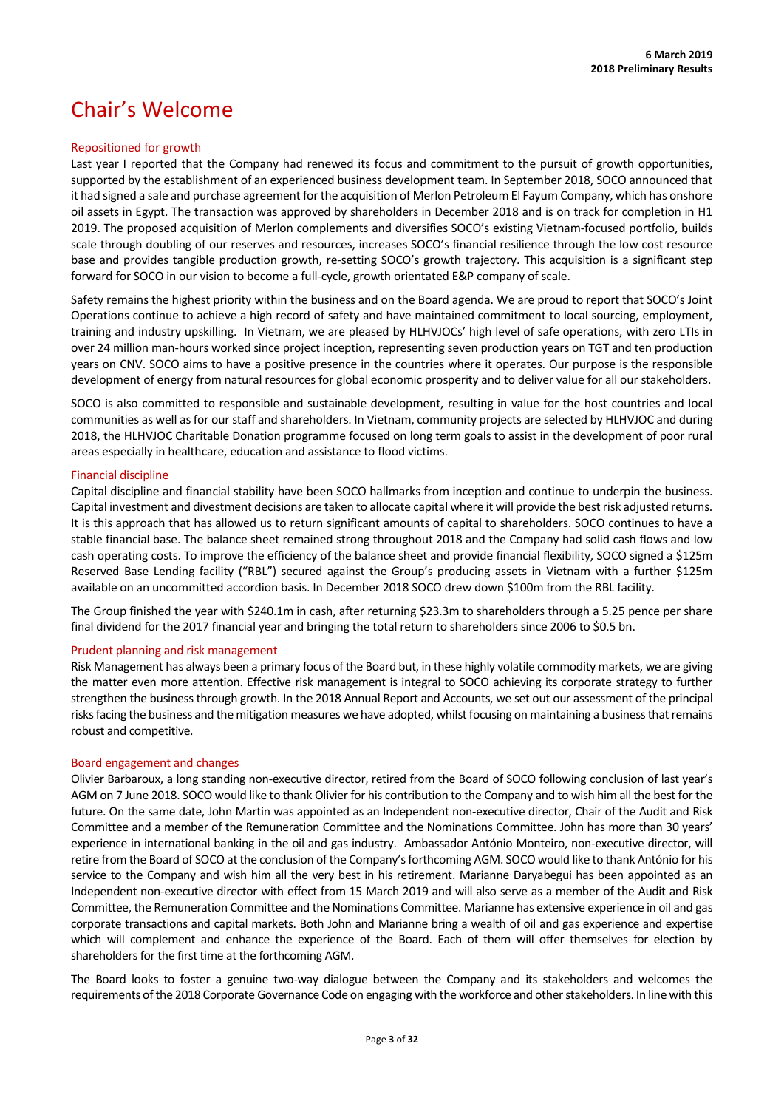# Chair's Welcome

### Repositioned for growth

Last year I reported that the Company had renewed its focus and commitment to the pursuit of growth opportunities, supported by the establishment of an experienced business development team. In September 2018, SOCO announced that it had signed a sale and purchase agreement for the acquisition of Merlon Petroleum El Fayum Company, which has onshore oil assets in Egypt. The transaction was approved by shareholders in December 2018 and is on track for completion in H1 2019. The proposed acquisition of Merlon complements and diversifies SOCO's existing Vietnam-focused portfolio, builds scale through doubling of our reserves and resources, increases SOCO's financial resilience through the low cost resource base and provides tangible production growth, re-setting SOCO's growth trajectory. This acquisition is a significant step forward for SOCO in our vision to become a full-cycle, growth orientated E&P company of scale.

Safety remains the highest priority within the business and on the Board agenda. We are proud to report that SOCO's Joint Operations continue to achieve a high record of safety and have maintained commitment to local sourcing, employment, training and industry upskilling. In Vietnam, we are pleased by HLHVJOCs' high level of safe operations, with zero LTIs in over 24 million man-hours worked since project inception, representing seven production years on TGT and ten production years on CNV. SOCO aims to have a positive presence in the countries where it operates. Our purpose is the responsible development of energy from natural resources for global economic prosperity and to deliver value for all our stakeholders.

SOCO is also committed to responsible and sustainable development, resulting in value for the host countries and local communities as well as for our staff and shareholders. In Vietnam, community projects are selected by HLHVJOC and during 2018, the HLHVJOC Charitable Donation programme focused on long term goals to assist in the development of poor rural areas especially in healthcare, education and assistance to flood victims.

# Financial discipline

Capital discipline and financial stability have been SOCO hallmarks from inception and continue to underpin the business. Capital investment and divestment decisions are taken to allocate capital where it will provide the best risk adjusted returns. It is this approach that has allowed us to return significant amounts of capital to shareholders. SOCO continues to have a stable financial base. The balance sheet remained strong throughout 2018 and the Company had solid cash flows and low cash operating costs. To improve the efficiency of the balance sheet and provide financial flexibility, SOCO signed a \$125m Reserved Base Lending facility ("RBL") secured against the Group's producing assets in Vietnam with a further \$125m available on an uncommitted accordion basis. In December 2018 SOCO drew down \$100m from the RBL facility.

The Group finished the year with \$240.1m in cash, after returning \$23.3m to shareholders through a 5.25 pence per share final dividend for the 2017 financial year and bringing the total return to shareholders since 2006 to \$0.5 bn.

### Prudent planning and risk management

Risk Management has always been a primary focus of the Board but, in these highly volatile commodity markets, we are giving the matter even more attention. Effective risk management is integral to SOCO achieving its corporate strategy to further strengthen the business through growth. In the 2018 Annual Report and Accounts, we set out our assessment of the principal risks facing the business and the mitigation measures we have adopted, whilst focusing on maintaining a business that remains robust and competitive.

# Board engagement and changes

Olivier Barbaroux, a long standing non-executive director, retired from the Board of SOCO following conclusion of last year's AGM on 7 June 2018. SOCO would like to thank Olivier for his contribution to the Company and to wish him all the best for the future. On the same date, John Martin was appointed as an Independent non-executive director, Chair of the Audit and Risk Committee and a member of the Remuneration Committee and the Nominations Committee. John has more than 30 years' experience in international banking in the oil and gas industry. Ambassador António Monteiro, non-executive director, will retire from the Board of SOCO at the conclusion of the Company's forthcoming AGM. SOCO would like to thank António for his service to the Company and wish him all the very best in his retirement. Marianne Daryabegui has been appointed as an Independent non-executive director with effect from 15 March 2019 and will also serve as a member of the Audit and Risk Committee, the Remuneration Committee and the Nominations Committee. Marianne has extensive experience in oil and gas corporate transactions and capital markets. Both John and Marianne bring a wealth of oil and gas experience and expertise which will complement and enhance the experience of the Board. Each of them will offer themselves for election by shareholders for the first time at the forthcoming AGM.

The Board looks to foster a genuine two-way dialogue between the Company and its stakeholders and welcomes the requirements of the 2018 Corporate Governance Code on engaging with the workforce and other stakeholders. In line with this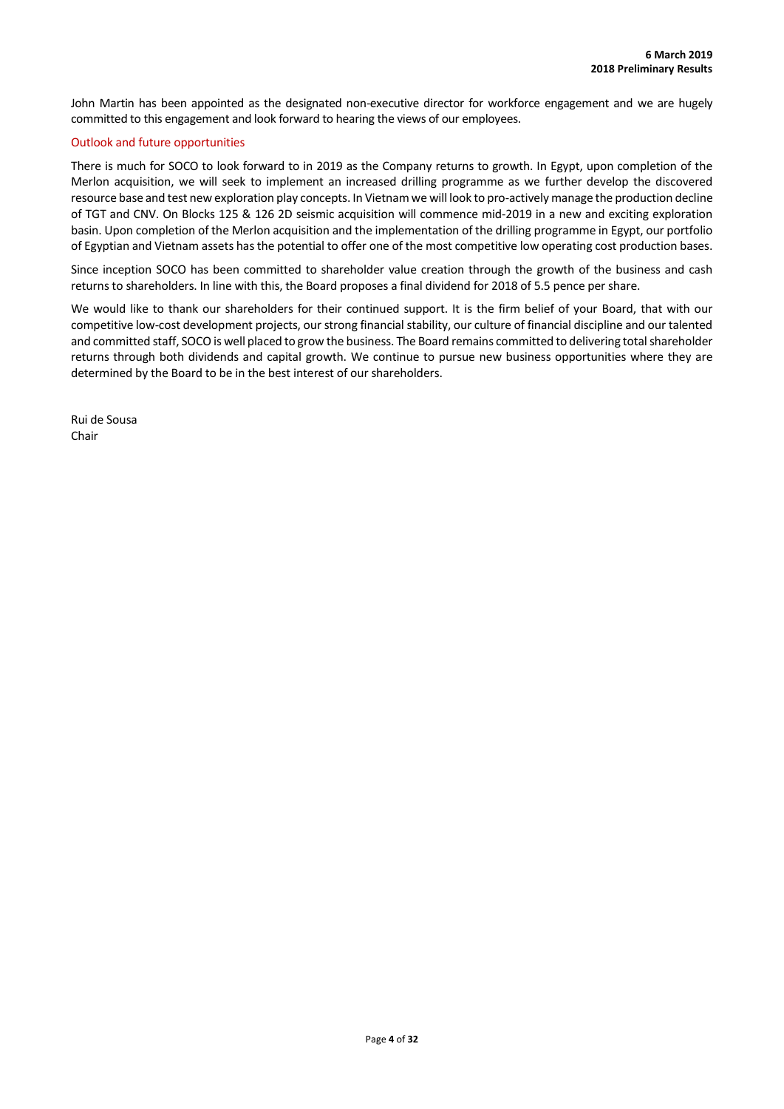John Martin has been appointed as the designated non-executive director for workforce engagement and we are hugely committed to this engagement and look forward to hearing the views of our employees.

# Outlook and future opportunities

There is much for SOCO to look forward to in 2019 as the Company returns to growth. In Egypt, upon completion of the Merlon acquisition, we will seek to implement an increased drilling programme as we further develop the discovered resource base and test new exploration play concepts. In Vietnam we will look to pro-actively manage the production decline of TGT and CNV. On Blocks 125 & 126 2D seismic acquisition will commence mid-2019 in a new and exciting exploration basin. Upon completion of the Merlon acquisition and the implementation of the drilling programme in Egypt, our portfolio of Egyptian and Vietnam assets has the potential to offer one of the most competitive low operating cost production bases.

Since inception SOCO has been committed to shareholder value creation through the growth of the business and cash returns to shareholders. In line with this, the Board proposes a final dividend for 2018 of 5.5 pence per share.

We would like to thank our shareholders for their continued support. It is the firm belief of your Board, that with our competitive low-cost development projects, our strong financial stability, our culture of financial discipline and our talented and committed staff, SOCO is well placed to grow the business. The Board remains committed to delivering total shareholder returns through both dividends and capital growth. We continue to pursue new business opportunities where they are determined by the Board to be in the best interest of our shareholders.

Rui de Sousa Chair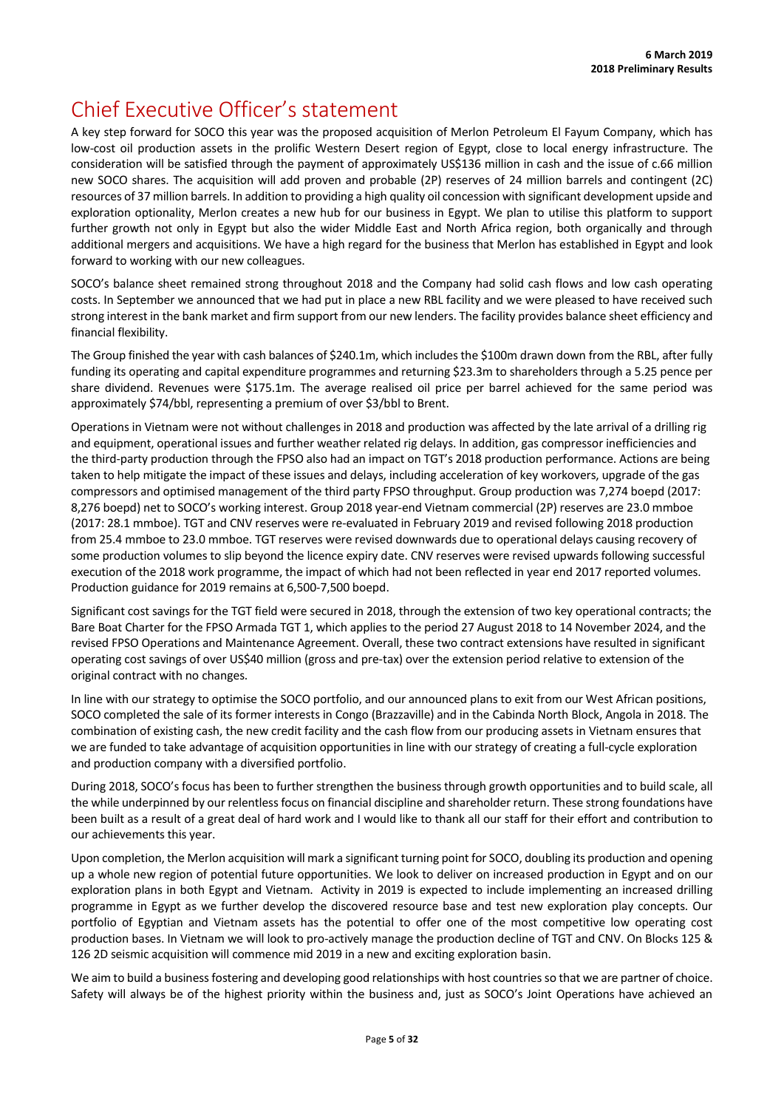# Chief Executive Officer's statement

A key step forward for SOCO this year was the proposed acquisition of Merlon Petroleum El Fayum Company, which has low-cost oil production assets in the prolific Western Desert region of Egypt, close to local energy infrastructure. The consideration will be satisfied through the payment of approximately US\$136 million in cash and the issue of c.66 million new SOCO shares. The acquisition will add proven and probable (2P) reserves of 24 million barrels and contingent (2C) resources of 37 million barrels. In addition to providing a high quality oil concession with significant development upside and exploration optionality, Merlon creates a new hub for our business in Egypt. We plan to utilise this platform to support further growth not only in Egypt but also the wider Middle East and North Africa region, both organically and through additional mergers and acquisitions. We have a high regard for the business that Merlon has established in Egypt and look forward to working with our new colleagues.

SOCO's balance sheet remained strong throughout 2018 and the Company had solid cash flows and low cash operating costs. In September we announced that we had put in place a new RBL facility and we were pleased to have received such strong interest in the bank market and firm support from our new lenders. The facility provides balance sheet efficiency and financial flexibility.

The Group finished the year with cash balances of \$240.1m, which includes the \$100m drawn down from the RBL, after fully funding its operating and capital expenditure programmes and returning \$23.3m to shareholders through a 5.25 pence per share dividend. Revenues were \$175.1m. The average realised oil price per barrel achieved for the same period was approximately \$74/bbl, representing a premium of over \$3/bbl to Brent.

Operations in Vietnam were not without challenges in 2018 and production was affected by the late arrival of a drilling rig and equipment, operational issues and further weather related rig delays. In addition, gas compressor inefficiencies and the third-party production through the FPSO also had an impact on TGT's 2018 production performance. Actions are being taken to help mitigate the impact of these issues and delays, including acceleration of key workovers, upgrade of the gas compressors and optimised management of the third party FPSO throughput. Group production was 7,274 boepd (2017: 8,276 boepd) net to SOCO's working interest. Group 2018 year-end Vietnam commercial (2P) reserves are 23.0 mmboe (2017: 28.1 mmboe). TGT and CNV reserves were re-evaluated in February 2019 and revised following 2018 production from 25.4 mmboe to 23.0 mmboe. TGT reserves were revised downwards due to operational delays causing recovery of some production volumes to slip beyond the licence expiry date. CNV reserves were revised upwards following successful execution of the 2018 work programme, the impact of which had not been reflected in year end 2017 reported volumes. Production guidance for 2019 remains at 6,500-7,500 boepd.

Significant cost savings for the TGT field were secured in 2018, through the extension of two key operational contracts; the Bare Boat Charter for the FPSO Armada TGT 1, which applies to the period 27 August 2018 to 14 November 2024, and the revised FPSO Operations and Maintenance Agreement. Overall, these two contract extensions have resulted in significant operating cost savings of over US\$40 million (gross and pre-tax) over the extension period relative to extension of the original contract with no changes.

In line with our strategy to optimise the SOCO portfolio, and our announced plans to exit from our West African positions, SOCO completed the sale of its former interests in Congo (Brazzaville) and in the Cabinda North Block, Angola in 2018. The combination of existing cash, the new credit facility and the cash flow from our producing assets in Vietnam ensures that we are funded to take advantage of acquisition opportunities in line with our strategy of creating a full-cycle exploration and production company with a diversified portfolio.

During 2018, SOCO's focus has been to further strengthen the business through growth opportunities and to build scale, all the while underpinned by our relentlessfocus on financial discipline and shareholder return. These strong foundations have been built as a result of a great deal of hard work and I would like to thank all our staff for their effort and contribution to our achievements this year.

Upon completion, the Merlon acquisition will mark a significant turning point for SOCO, doubling its production and opening up a whole new region of potential future opportunities. We look to deliver on increased production in Egypt and on our exploration plans in both Egypt and Vietnam. Activity in 2019 is expected to include implementing an increased drilling programme in Egypt as we further develop the discovered resource base and test new exploration play concepts. Our portfolio of Egyptian and Vietnam assets has the potential to offer one of the most competitive low operating cost production bases. In Vietnam we will look to pro-actively manage the production decline of TGT and CNV. On Blocks 125 & 126 2D seismic acquisition will commence mid 2019 in a new and exciting exploration basin.

We aim to build a business fostering and developing good relationships with host countries so that we are partner of choice. Safety will always be of the highest priority within the business and, just as SOCO's Joint Operations have achieved an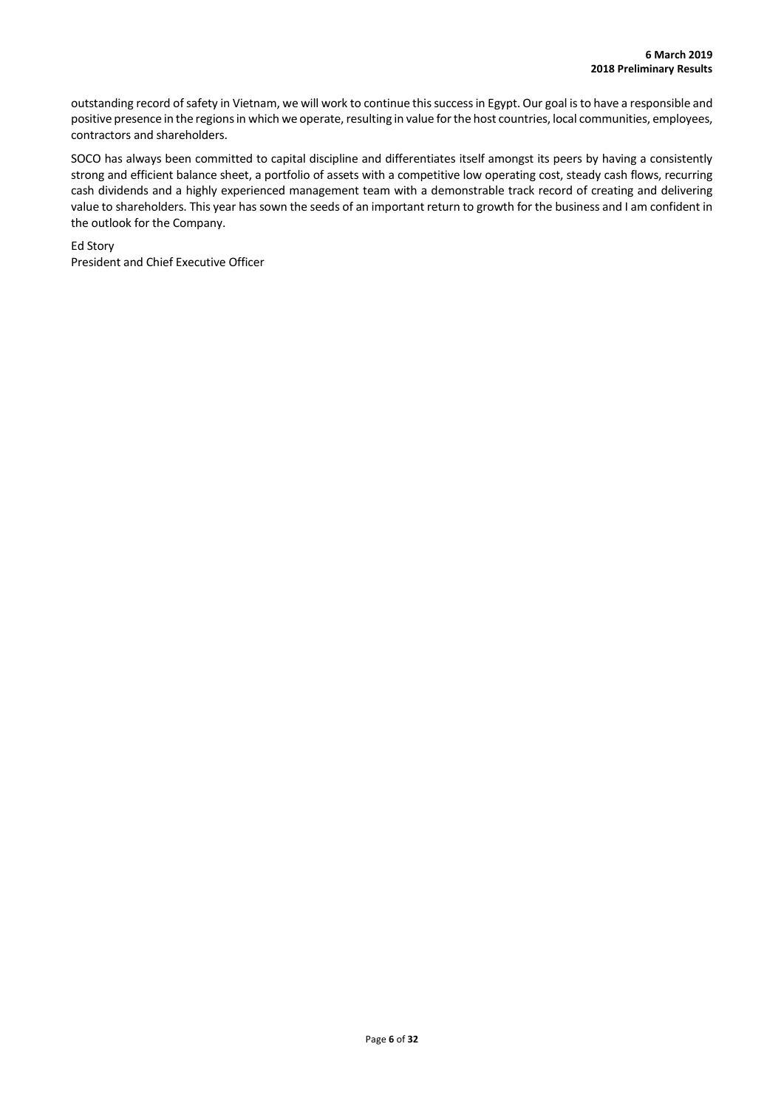outstanding record of safety in Vietnam, we will work to continue this success in Egypt. Our goal is to have a responsible and positive presence in the regions in which we operate, resulting in value for the host countries, local communities, employees, contractors and shareholders.

SOCO has always been committed to capital discipline and differentiates itself amongst its peers by having a consistently strong and efficient balance sheet, a portfolio of assets with a competitive low operating cost, steady cash flows, recurring cash dividends and a highly experienced management team with a demonstrable track record of creating and delivering value to shareholders. This year has sown the seeds of an important return to growth for the business and I am confident in the outlook for the Company.

Ed Story President and Chief Executive Officer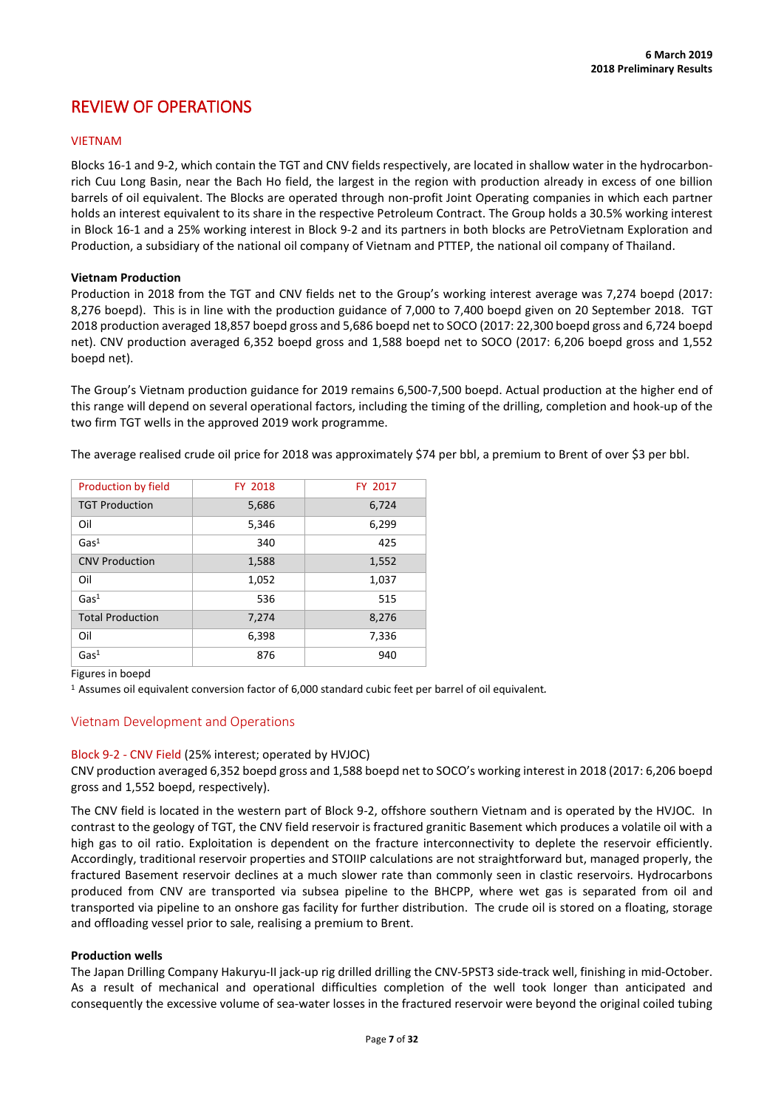# REVIEW OF OPERATIONS

# **VIFTNAM**

Blocks 16-1 and 9-2, which contain the TGT and CNV fields respectively, are located in shallow water in the hydrocarbonrich Cuu Long Basin, near the Bach Ho field, the largest in the region with production already in excess of one billion barrels of oil equivalent. The Blocks are operated through non-profit Joint Operating companies in which each partner holds an interest equivalent to its share in the respective Petroleum Contract. The Group holds a 30.5% working interest in Block 16-1 and a 25% working interest in Block 9-2 and its partners in both blocks are PetroVietnam Exploration and Production, a subsidiary of the national oil company of Vietnam and PTTEP, the national oil company of Thailand.

### **Vietnam Production**

Production in 2018 from the TGT and CNV fields net to the Group's working interest average was 7,274 boepd (2017: 8,276 boepd). This is in line with the production guidance of 7,000 to 7,400 boepd given on 20 September 2018. TGT 2018 production averaged 18,857 boepd gross and 5,686 boepd net to SOCO (2017: 22,300 boepd gross and 6,724 boepd net). CNV production averaged 6,352 boepd gross and 1,588 boepd net to SOCO (2017: 6,206 boepd gross and 1,552 boepd net).

The Group's Vietnam production guidance for 2019 remains 6,500-7,500 boepd. Actual production at the higher end of this range will depend on several operational factors, including the timing of the drilling, completion and hook-up of the two firm TGT wells in the approved 2019 work programme.

| Production by field     | FY 2018 | FY 2017 |
|-------------------------|---------|---------|
| <b>TGT Production</b>   | 5,686   | 6,724   |
| Oil                     | 5,346   | 6,299   |
| Gas <sup>1</sup>        | 340     | 425     |
| <b>CNV Production</b>   | 1,588   | 1,552   |
| Oil                     | 1,052   | 1,037   |
| Gas <sup>1</sup>        | 536     | 515     |
| <b>Total Production</b> | 7,274   | 8,276   |
| Oil                     | 6,398   | 7,336   |
| Gas <sup>1</sup>        | 876     | 940     |

The average realised crude oil price for 2018 was approximately \$74 per bbl, a premium to Brent of over \$3 per bbl.

### Figures in boepd

1 Assumes oil equivalent conversion factor of 6,000 standard cubic feet per barrel of oil equivalent*.*

# Vietnam Development and Operations

# Block 9-2 - CNV Field (25% interest; operated by HVJOC)

CNV production averaged 6,352 boepd gross and 1,588 boepd net to SOCO's working interest in 2018 (2017: 6,206 boepd gross and 1,552 boepd, respectively).

The CNV field is located in the western part of Block 9-2, offshore southern Vietnam and is operated by the HVJOC. In contrast to the geology of TGT, the CNV field reservoir is fractured granitic Basement which produces a volatile oil with a high gas to oil ratio. Exploitation is dependent on the fracture interconnectivity to deplete the reservoir efficiently. Accordingly, traditional reservoir properties and STOIIP calculations are not straightforward but, managed properly, the fractured Basement reservoir declines at a much slower rate than commonly seen in clastic reservoirs. Hydrocarbons produced from CNV are transported via subsea pipeline to the BHCPP, where wet gas is separated from oil and transported via pipeline to an onshore gas facility for further distribution. The crude oil is stored on a floating, storage and offloading vessel prior to sale, realising a premium to Brent.

### **Production wells**

The Japan Drilling Company Hakuryu-II jack-up rig drilled drilling the CNV-5PST3 side-track well, finishing in mid-October. As a result of mechanical and operational difficulties completion of the well took longer than anticipated and consequently the excessive volume of sea-water losses in the fractured reservoir were beyond the original coiled tubing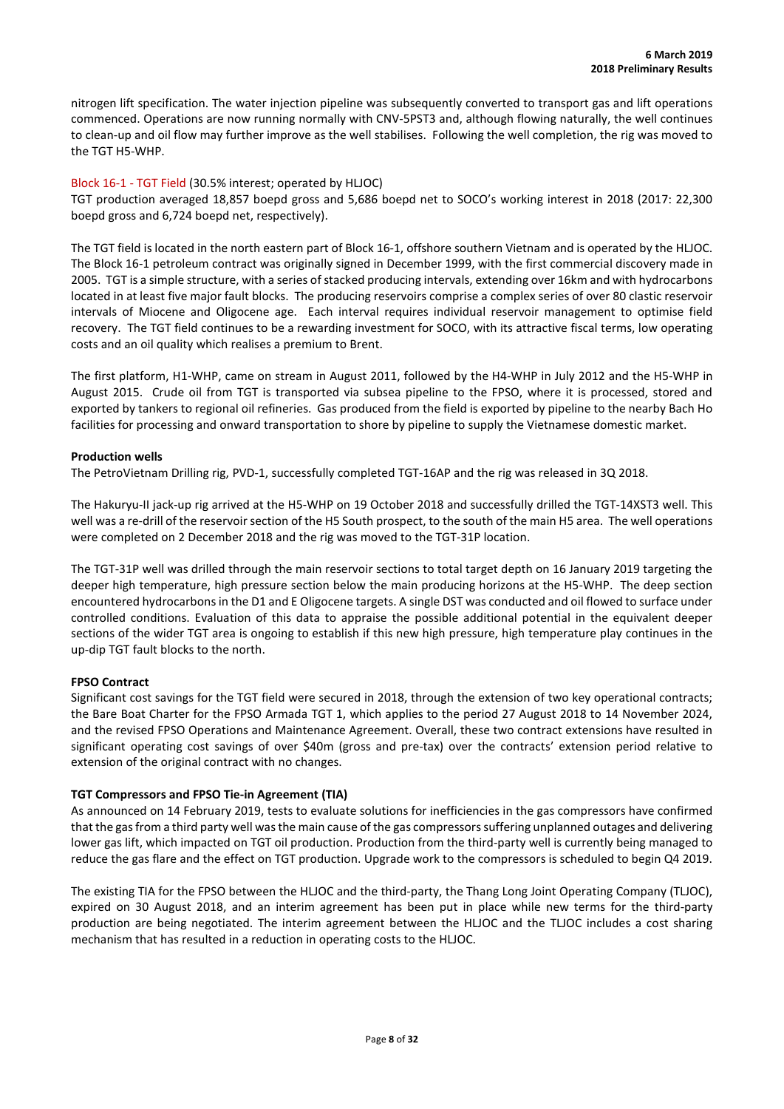nitrogen lift specification. The water injection pipeline was subsequently converted to transport gas and lift operations commenced. Operations are now running normally with CNV-5PST3 and, although flowing naturally, the well continues to clean-up and oil flow may further improve as the well stabilises. Following the well completion, the rig was moved to the TGT H5-WHP.

### Block 16-1 - TGT Field (30.5% interest; operated by HLJOC)

TGT production averaged 18,857 boepd gross and 5,686 boepd net to SOCO's working interest in 2018 (2017: 22,300 boepd gross and 6,724 boepd net, respectively).

The TGT field is located in the north eastern part of Block 16-1, offshore southern Vietnam and is operated by the HLJOC. The Block 16-1 petroleum contract was originally signed in December 1999, with the first commercial discovery made in 2005. TGT is a simple structure, with a series of stacked producing intervals, extending over 16km and with hydrocarbons located in at least five major fault blocks. The producing reservoirs comprise a complex series of over 80 clastic reservoir intervals of Miocene and Oligocene age. Each interval requires individual reservoir management to optimise field recovery. The TGT field continues to be a rewarding investment for SOCO, with its attractive fiscal terms, low operating costs and an oil quality which realises a premium to Brent.

The first platform, H1-WHP, came on stream in August 2011, followed by the H4-WHP in July 2012 and the H5-WHP in August 2015. Crude oil from TGT is transported via subsea pipeline to the FPSO, where it is processed, stored and exported by tankers to regional oil refineries. Gas produced from the field is exported by pipeline to the nearby Bach Ho facilities for processing and onward transportation to shore by pipeline to supply the Vietnamese domestic market.

### **Production wells**

The PetroVietnam Drilling rig, PVD-1, successfully completed TGT-16AP and the rig was released in 3Q 2018.

The Hakuryu-II jack-up rig arrived at the H5-WHP on 19 October 2018 and successfully drilled the TGT-14XST3 well. This well was a re-drill of the reservoir section of the H5 South prospect, to the south of the main H5 area. The well operations were completed on 2 December 2018 and the rig was moved to the TGT-31P location.

The TGT-31P well was drilled through the main reservoir sections to total target depth on 16 January 2019 targeting the deeper high temperature, high pressure section below the main producing horizons at the H5-WHP. The deep section encountered hydrocarbons in the D1 and E Oligocene targets. A single DST was conducted and oil flowed to surface under controlled conditions. Evaluation of this data to appraise the possible additional potential in the equivalent deeper sections of the wider TGT area is ongoing to establish if this new high pressure, high temperature play continues in the up-dip TGT fault blocks to the north.

# **FPSO Contract**

Significant cost savings for the TGT field were secured in 2018, through the extension of two key operational contracts; the Bare Boat Charter for the FPSO Armada TGT 1, which applies to the period 27 August 2018 to 14 November 2024, and the revised FPSO Operations and Maintenance Agreement. Overall, these two contract extensions have resulted in significant operating cost savings of over \$40m (gross and pre-tax) over the contracts' extension period relative to extension of the original contract with no changes.

# **TGT Compressors and FPSO Tie-in Agreement (TIA)**

As announced on 14 February 2019, tests to evaluate solutions for inefficiencies in the gas compressors have confirmed that the gas from a third party well was the main cause of the gas compressors suffering unplanned outages and delivering lower gas lift, which impacted on TGT oil production. Production from the third-party well is currently being managed to reduce the gas flare and the effect on TGT production. Upgrade work to the compressors is scheduled to begin Q4 2019.

The existing TIA for the FPSO between the HLJOC and the third-party, the Thang Long Joint Operating Company (TLJOC), expired on 30 August 2018, and an interim agreement has been put in place while new terms for the third-party production are being negotiated. The interim agreement between the HLJOC and the TLJOC includes a cost sharing mechanism that has resulted in a reduction in operating costs to the HLJOC.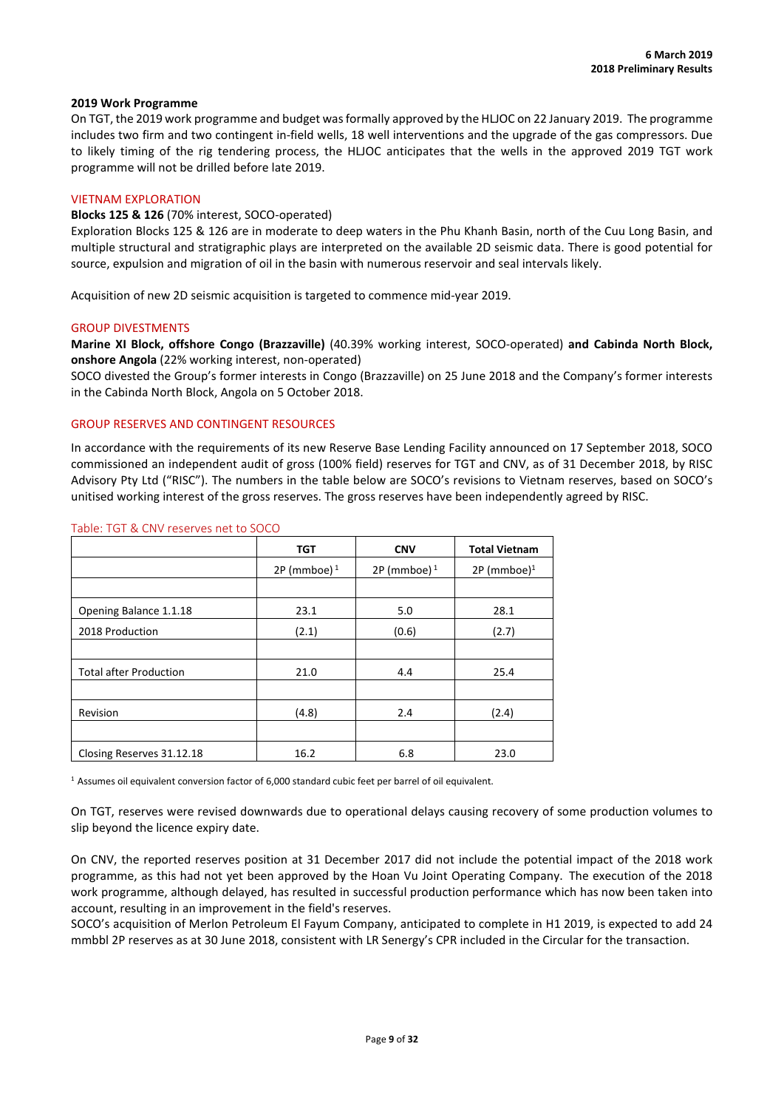### **2019 Work Programme**

On TGT, the 2019 work programme and budget was formally approved by the HLJOC on 22 January 2019. The programme includes two firm and two contingent in-field wells, 18 well interventions and the upgrade of the gas compressors. Due to likely timing of the rig tendering process, the HLJOC anticipates that the wells in the approved 2019 TGT work programme will not be drilled before late 2019.

#### VIETNAM EXPLORATION

### **Blocks 125 & 126** (70% interest, SOCO-operated)

Exploration Blocks 125 & 126 are in moderate to deep waters in the Phu Khanh Basin, north of the Cuu Long Basin, and multiple structural and stratigraphic plays are interpreted on the available 2D seismic data. There is good potential for source, expulsion and migration of oil in the basin with numerous reservoir and seal intervals likely.

Acquisition of new 2D seismic acquisition is targeted to commence mid-year 2019.

#### GROUP DIVESTMENTS

**Marine XI Block, offshore Congo (Brazzaville)** (40.39% working interest, SOCO-operated) **and Cabinda North Block, onshore Angola** (22% working interest, non-operated)

SOCO divested the Group's former interests in Congo (Brazzaville) on 25 June 2018 and the Company's former interests in the Cabinda North Block, Angola on 5 October 2018.

#### GROUP RESERVES AND CONTINGENT RESOURCES

In accordance with the requirements of its new Reserve Base Lending Facility announced on 17 September 2018, SOCO commissioned an independent audit of gross (100% field) reserves for TGT and CNV, as of 31 December 2018, by RISC Advisory Pty Ltd ("RISC"). The numbers in the table below are SOCO's revisions to Vietnam reserves, based on SOCO's unitised working interest of the gross reserves. The gross reserves have been independently agreed by RISC.

|                               | <b>TGT</b>     | <b>CNV</b>     | <b>Total Vietnam</b>      |
|-------------------------------|----------------|----------------|---------------------------|
|                               | 2P (mmboe) $1$ | 2P (mmboe) $1$ | $2P$ (mmboe) <sup>1</sup> |
|                               |                |                |                           |
| Opening Balance 1.1.18        | 23.1           | 5.0            | 28.1                      |
| 2018 Production               | (2.1)          | (0.6)          | (2.7)                     |
|                               |                |                |                           |
| <b>Total after Production</b> | 21.0           | 4.4            | 25.4                      |
|                               |                |                |                           |
| Revision                      | (4.8)          | 2.4            | (2.4)                     |
|                               |                |                |                           |
| Closing Reserves 31.12.18     | 16.2           | 6.8            | 23.0                      |

#### Table: TGT & CNV reserves net to SOCO

1 Assumes oil equivalent conversion factor of 6,000 standard cubic feet per barrel of oil equivalent.

On TGT, reserves were revised downwards due to operational delays causing recovery of some production volumes to slip beyond the licence expiry date.

On CNV, the reported reserves position at 31 December 2017 did not include the potential impact of the 2018 work programme, as this had not yet been approved by the Hoan Vu Joint Operating Company. The execution of the 2018 work programme, although delayed, has resulted in successful production performance which has now been taken into account, resulting in an improvement in the field's reserves.

SOCO's acquisition of Merlon Petroleum El Fayum Company, anticipated to complete in H1 2019, is expected to add 24 mmbbl 2P reserves as at 30 June 2018, consistent with LR Senergy's CPR included in the Circular for the transaction.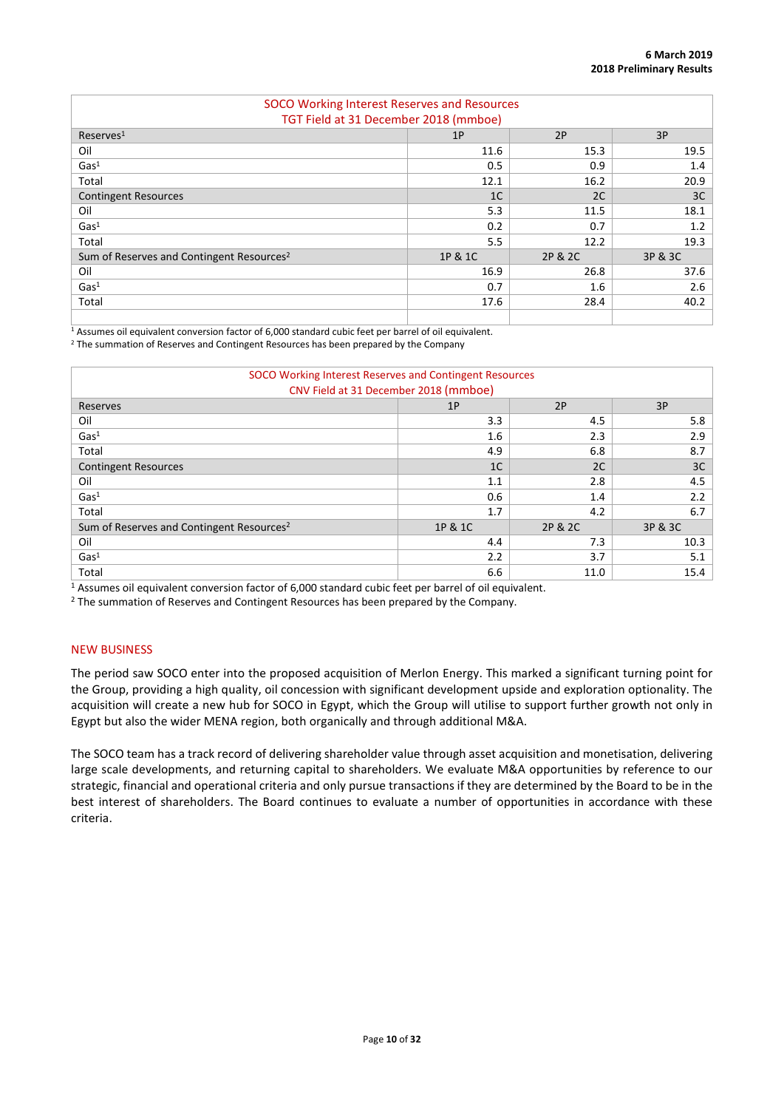| SOCO Working Interest Reserves and Resources          |                |         |         |  |  |  |  |
|-------------------------------------------------------|----------------|---------|---------|--|--|--|--|
| TGT Field at 31 December 2018 (mmboe)                 |                |         |         |  |  |  |  |
| 2P<br>3P<br>Reserves <sup>1</sup><br>1P               |                |         |         |  |  |  |  |
| Oil                                                   | 11.6           | 15.3    | 19.5    |  |  |  |  |
| Gas <sup>1</sup>                                      | 0.5            | 0.9     | 1.4     |  |  |  |  |
| Total                                                 | 12.1           | 16.2    | 20.9    |  |  |  |  |
| <b>Contingent Resources</b>                           | 1 <sup>C</sup> | 2C      | 3C      |  |  |  |  |
| Oil                                                   | 5.3            | 11.5    | 18.1    |  |  |  |  |
| Gas <sup>1</sup>                                      | 0.2            | 0.7     | 1.2     |  |  |  |  |
| Total                                                 | 5.5            | 12.2    | 19.3    |  |  |  |  |
| Sum of Reserves and Contingent Resources <sup>2</sup> | 1P & 1C        | 2P & 2C | 3P & 3C |  |  |  |  |
| Oil                                                   | 16.9           | 26.8    | 37.6    |  |  |  |  |
| Gas <sup>1</sup>                                      | 0.7            | 1.6     | 2.6     |  |  |  |  |
| Total                                                 | 17.6           | 28.4    | 40.2    |  |  |  |  |
|                                                       |                |         |         |  |  |  |  |

<sup>1</sup> Assumes oil equivalent conversion factor of 6,000 standard cubic feet per barrel of oil equivalent.

<sup>2</sup> The summation of Reserves and Contingent Resources has been prepared by the Company

| SOCO Working Interest Reserves and Contingent Resources |                |         |               |  |  |  |
|---------------------------------------------------------|----------------|---------|---------------|--|--|--|
| CNV Field at 31 December 2018 (mmboe)                   |                |         |               |  |  |  |
| 2P<br>3P<br>1P<br>Reserves                              |                |         |               |  |  |  |
| Oil                                                     | 3.3            | 4.5     | 5.8           |  |  |  |
| Gas <sup>1</sup>                                        | 1.6            | 2.3     | 2.9           |  |  |  |
| Total                                                   | 4.9            | 6.8     | 8.7           |  |  |  |
| <b>Contingent Resources</b>                             | 1 <sup>C</sup> | 2C      | 3C            |  |  |  |
| Oil                                                     | 1.1            | 2.8     | 4.5           |  |  |  |
| Gas <sup>1</sup>                                        | 0.6            | 1.4     | $2.2^{\circ}$ |  |  |  |
| Total                                                   | 1.7            | 4.2     | 6.7           |  |  |  |
| Sum of Reserves and Contingent Resources <sup>2</sup>   | 1P & 1C        | 2P & 2C | 3P & 3C       |  |  |  |
| Oil                                                     | 4.4            | 7.3     | 10.3          |  |  |  |
| Gas <sup>1</sup>                                        | 2.2            | 3.7     | 5.1           |  |  |  |
| Total                                                   | 6.6            | 11.0    | 15.4          |  |  |  |

<sup>1</sup> Assumes oil equivalent conversion factor of 6,000 standard cubic feet per barrel of oil equivalent. <sup>2</sup> The summation of Reserves and Contingent Resources has been prepared by the Company.

### NEW BUSINESS

The period saw SOCO enter into the proposed acquisition of Merlon Energy. This marked a significant turning point for the Group, providing a high quality, oil concession with significant development upside and exploration optionality. The acquisition will create a new hub for SOCO in Egypt, which the Group will utilise to support further growth not only in Egypt but also the wider MENA region, both organically and through additional M&A.

The SOCO team has a track record of delivering shareholder value through asset acquisition and monetisation, delivering large scale developments, and returning capital to shareholders. We evaluate M&A opportunities by reference to our strategic, financial and operational criteria and only pursue transactions if they are determined by the Board to be in the best interest of shareholders. The Board continues to evaluate a number of opportunities in accordance with these criteria.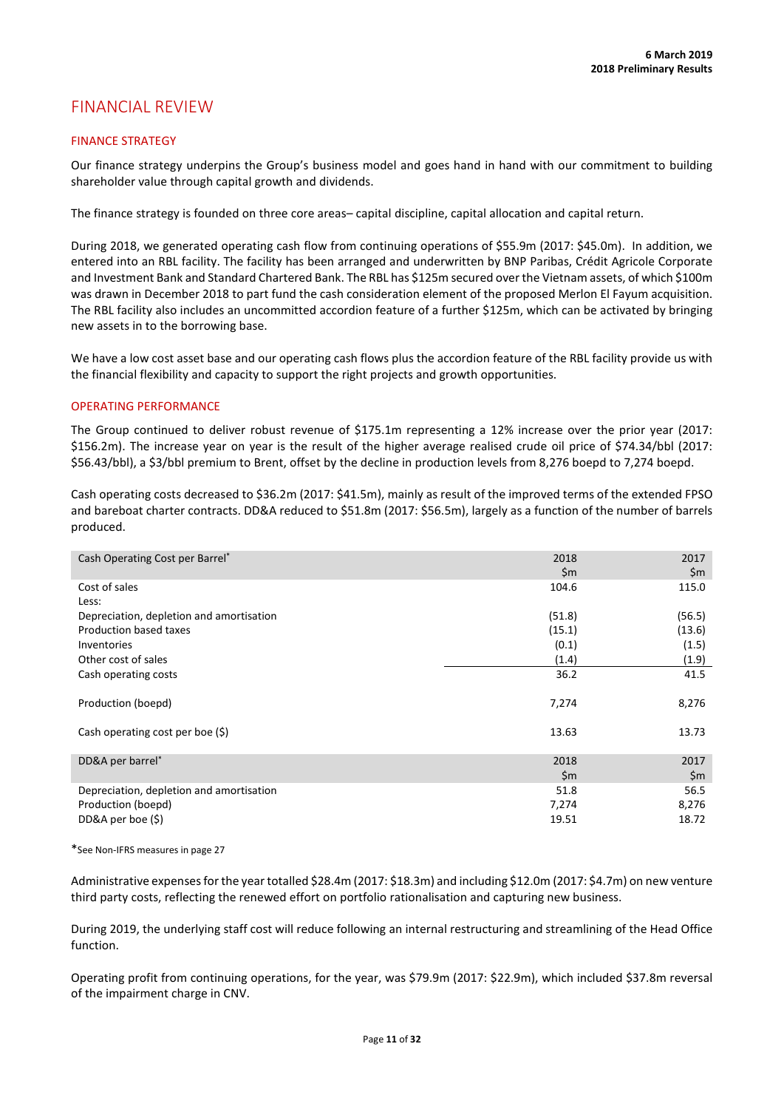# FINANCIAL REVIEW

# FINANCE STRATEGY

Our finance strategy underpins the Group's business model and goes hand in hand with our commitment to building shareholder value through capital growth and dividends.

The finance strategy is founded on three core areas– capital discipline, capital allocation and capital return.

During 2018, we generated operating cash flow from continuing operations of \$55.9m (2017: \$45.0m). In addition, we entered into an RBL facility. The facility has been arranged and underwritten by BNP Paribas, Crédit Agricole Corporate and Investment Bank and Standard Chartered Bank. The RBL has \$125m secured over the Vietnam assets, of which \$100m was drawn in December 2018 to part fund the cash consideration element of the proposed Merlon El Fayum acquisition. The RBL facility also includes an uncommitted accordion feature of a further \$125m, which can be activated by bringing new assets in to the borrowing base.

We have a low cost asset base and our operating cash flows plus the accordion feature of the RBL facility provide us with the financial flexibility and capacity to support the right projects and growth opportunities.

### OPERATING PERFORMANCE

The Group continued to deliver robust revenue of \$175.1m representing a 12% increase over the prior year (2017: \$156.2m). The increase year on year is the result of the higher average realised crude oil price of \$74.34/bbl (2017: \$56.43/bbl), a \$3/bbl premium to Brent, offset by the decline in production levels from 8,276 boepd to 7,274 boepd.

Cash operating costs decreased to \$36.2m (2017: \$41.5m), mainly as result of the improved terms of the extended FPSO and bareboat charter contracts. DD&A reduced to \$51.8m (2017: \$56.5m), largely as a function of the number of barrels produced.

| Cash Operating Cost per Barrel*          | 2018<br>\$m | 2017<br>\$m |
|------------------------------------------|-------------|-------------|
| Cost of sales                            | 104.6       | 115.0       |
| Less:                                    |             |             |
| Depreciation, depletion and amortisation | (51.8)      | (56.5)      |
| Production based taxes                   | (15.1)      | (13.6)      |
| Inventories                              | (0.1)       | (1.5)       |
| Other cost of sales                      | (1.4)       | (1.9)       |
| Cash operating costs                     | 36.2        | 41.5        |
| Production (boepd)                       | 7,274       | 8,276       |
| Cash operating cost per boe $(\xi)$      | 13.63       | 13.73       |
| DD&A per barrel*                         | 2018        | 2017        |
|                                          | \$m         | \$m         |
| Depreciation, depletion and amortisation | 51.8        | 56.5        |
| Production (boepd)                       | 7,274       | 8,276       |
| DD&A per boe $(\xi)$                     | 19.51       | 18.72       |

\*See Non-IFRS measures in page 27

Administrative expenses for the year totalled \$28.4m (2017: \$18.3m) and including \$12.0m (2017: \$4.7m) on new venture third party costs, reflecting the renewed effort on portfolio rationalisation and capturing new business.

During 2019, the underlying staff cost will reduce following an internal restructuring and streamlining of the Head Office function.

Operating profit from continuing operations, for the year, was \$79.9m (2017: \$22.9m), which included \$37.8m reversal of the impairment charge in CNV.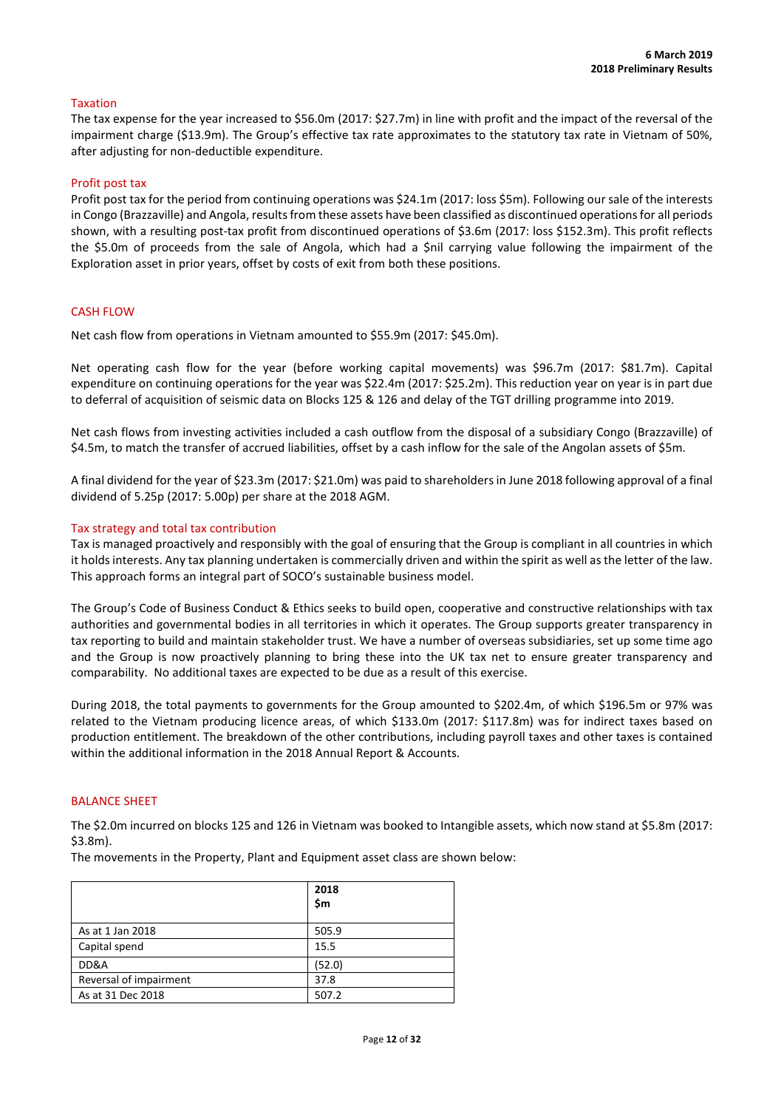### Taxation

The tax expense for the year increased to \$56.0m (2017: \$27.7m) in line with profit and the impact of the reversal of the impairment charge (\$13.9m). The Group's effective tax rate approximates to the statutory tax rate in Vietnam of 50%, after adjusting for non-deductible expenditure.

### Profit post tax

Profit post tax for the period from continuing operations was \$24.1m (2017: loss \$5m). Following our sale of the interests in Congo (Brazzaville) and Angola, results from these assets have been classified as discontinued operations for all periods shown, with a resulting post-tax profit from discontinued operations of \$3.6m (2017: loss \$152.3m). This profit reflects the \$5.0m of proceeds from the sale of Angola, which had a \$nil carrying value following the impairment of the Exploration asset in prior years, offset by costs of exit from both these positions.

# CASH FLOW

Net cash flow from operations in Vietnam amounted to \$55.9m (2017: \$45.0m).

Net operating cash flow for the year (before working capital movements) was \$96.7m (2017: \$81.7m). Capital expenditure on continuing operations for the year was \$22.4m (2017: \$25.2m). This reduction year on year is in part due to deferral of acquisition of seismic data on Blocks 125 & 126 and delay of the TGT drilling programme into 2019.

Net cash flows from investing activities included a cash outflow from the disposal of a subsidiary Congo (Brazzaville) of \$4.5m, to match the transfer of accrued liabilities, offset by a cash inflow for the sale of the Angolan assets of \$5m.

A final dividend for the year of \$23.3m (2017: \$21.0m) was paid to shareholders in June 2018 following approval of a final dividend of 5.25p (2017: 5.00p) per share at the 2018 AGM.

### Tax strategy and total tax contribution

Tax is managed proactively and responsibly with the goal of ensuring that the Group is compliant in all countries in which it holds interests. Any tax planning undertaken is commercially driven and within the spirit as well as the letter of the law. This approach forms an integral part of SOCO's sustainable business model.

The Group's Code of Business Conduct & Ethics seeks to build open, cooperative and constructive relationships with tax authorities and governmental bodies in all territories in which it operates. The Group supports greater transparency in tax reporting to build and maintain stakeholder trust. We have a number of overseas subsidiaries, set up some time ago and the Group is now proactively planning to bring these into the UK tax net to ensure greater transparency and comparability. No additional taxes are expected to be due as a result of this exercise.

During 2018, the total payments to governments for the Group amounted to \$202.4m, of which \$196.5m or 97% was related to the Vietnam producing licence areas, of which \$133.0m (2017: \$117.8m) was for indirect taxes based on production entitlement. The breakdown of the other contributions, including payroll taxes and other taxes is contained within the additional information in the 2018 Annual Report & Accounts.

### BALANCE SHEET

The \$2.0m incurred on blocks 125 and 126 in Vietnam was booked to Intangible assets, which now stand at \$5.8m (2017: \$3.8m).

The movements in the Property, Plant and Equipment asset class are shown below:

|                        | 2018<br>\$m |
|------------------------|-------------|
| As at 1 Jan 2018       | 505.9       |
| Capital spend          | 15.5        |
| DD&A                   | (52.0)      |
| Reversal of impairment | 37.8        |
| As at 31 Dec 2018      | 507.2       |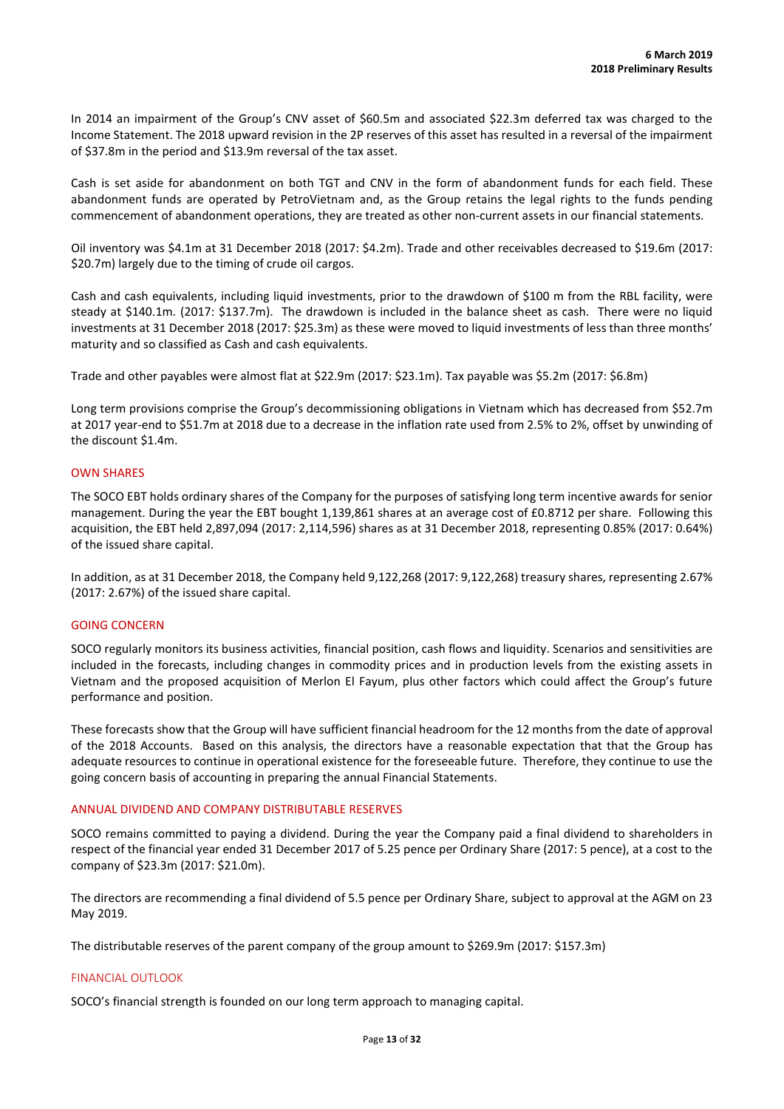In 2014 an impairment of the Group's CNV asset of \$60.5m and associated \$22.3m deferred tax was charged to the Income Statement. The 2018 upward revision in the 2P reserves of this asset has resulted in a reversal of the impairment of \$37.8m in the period and \$13.9m reversal of the tax asset.

Cash is set aside for abandonment on both TGT and CNV in the form of abandonment funds for each field. These abandonment funds are operated by PetroVietnam and, as the Group retains the legal rights to the funds pending commencement of abandonment operations, they are treated as other non-current assets in our financial statements.

Oil inventory was \$4.1m at 31 December 2018 (2017: \$4.2m). Trade and other receivables decreased to \$19.6m (2017: \$20.7m) largely due to the timing of crude oil cargos.

Cash and cash equivalents, including liquid investments, prior to the drawdown of \$100 m from the RBL facility, were steady at \$140.1m. (2017: \$137.7m). The drawdown is included in the balance sheet as cash. There were no liquid investments at 31 December 2018 (2017: \$25.3m) as these were moved to liquid investments of less than three months' maturity and so classified as Cash and cash equivalents.

Trade and other payables were almost flat at \$22.9m (2017: \$23.1m). Tax payable was \$5.2m (2017: \$6.8m)

Long term provisions comprise the Group's decommissioning obligations in Vietnam which has decreased from \$52.7m at 2017 year-end to \$51.7m at 2018 due to a decrease in the inflation rate used from 2.5% to 2%, offset by unwinding of the discount \$1.4m.

# OWN SHARES

The SOCO EBT holds ordinary shares of the Company for the purposes of satisfying long term incentive awards for senior management. During the year the EBT bought 1,139,861 shares at an average cost of £0.8712 per share. Following this acquisition, the EBT held 2,897,094 (2017: 2,114,596) shares as at 31 December 2018, representing 0.85% (2017: 0.64%) of the issued share capital.

In addition, as at 31 December 2018, the Company held 9,122,268 (2017: 9,122,268) treasury shares, representing 2.67% (2017: 2.67%) of the issued share capital.

# GOING CONCERN

SOCO regularly monitors its business activities, financial position, cash flows and liquidity. Scenarios and sensitivities are included in the forecasts, including changes in commodity prices and in production levels from the existing assets in Vietnam and the proposed acquisition of Merlon El Fayum, plus other factors which could affect the Group's future performance and position.

These forecasts show that the Group will have sufficient financial headroom for the 12 months from the date of approval of the 2018 Accounts. Based on this analysis, the directors have a reasonable expectation that that the Group has adequate resources to continue in operational existence for the foreseeable future. Therefore, they continue to use the going concern basis of accounting in preparing the annual Financial Statements.

### ANNUAL DIVIDEND AND COMPANY DISTRIBUTABLE RESERVES

SOCO remains committed to paying a dividend. During the year the Company paid a final dividend to shareholders in respect of the financial year ended 31 December 2017 of 5.25 pence per Ordinary Share (2017: 5 pence), at a cost to the company of \$23.3m (2017: \$21.0m).

The directors are recommending a final dividend of 5.5 pence per Ordinary Share, subject to approval at the AGM on 23 May 2019.

The distributable reserves of the parent company of the group amount to \$269.9m (2017: \$157.3m)

# FINANCIAL OUTLOOK

SOCO's financial strength is founded on our long term approach to managing capital.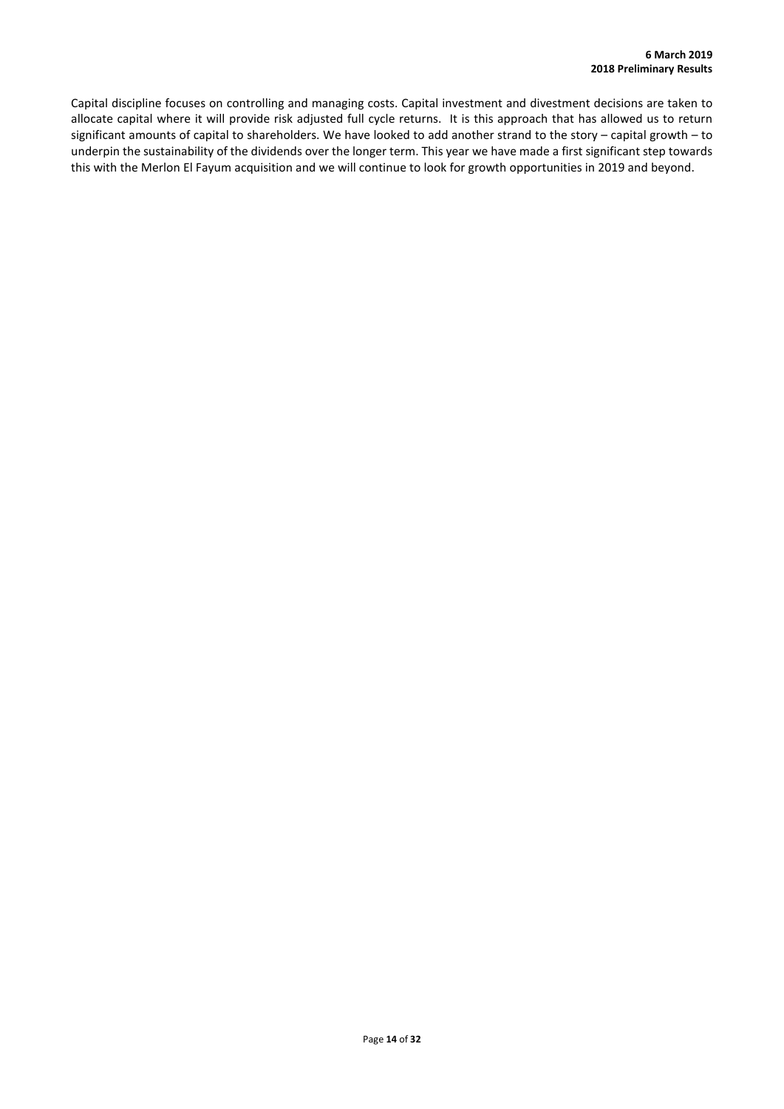Capital discipline focuses on controlling and managing costs. Capital investment and divestment decisions are taken to allocate capital where it will provide risk adjusted full cycle returns. It is this approach that has allowed us to return significant amounts of capital to shareholders. We have looked to add another strand to the story – capital growth – to underpin the sustainability of the dividends over the longer term. This year we have made a first significant step towards this with the Merlon El Fayum acquisition and we will continue to look for growth opportunities in 2019 and beyond.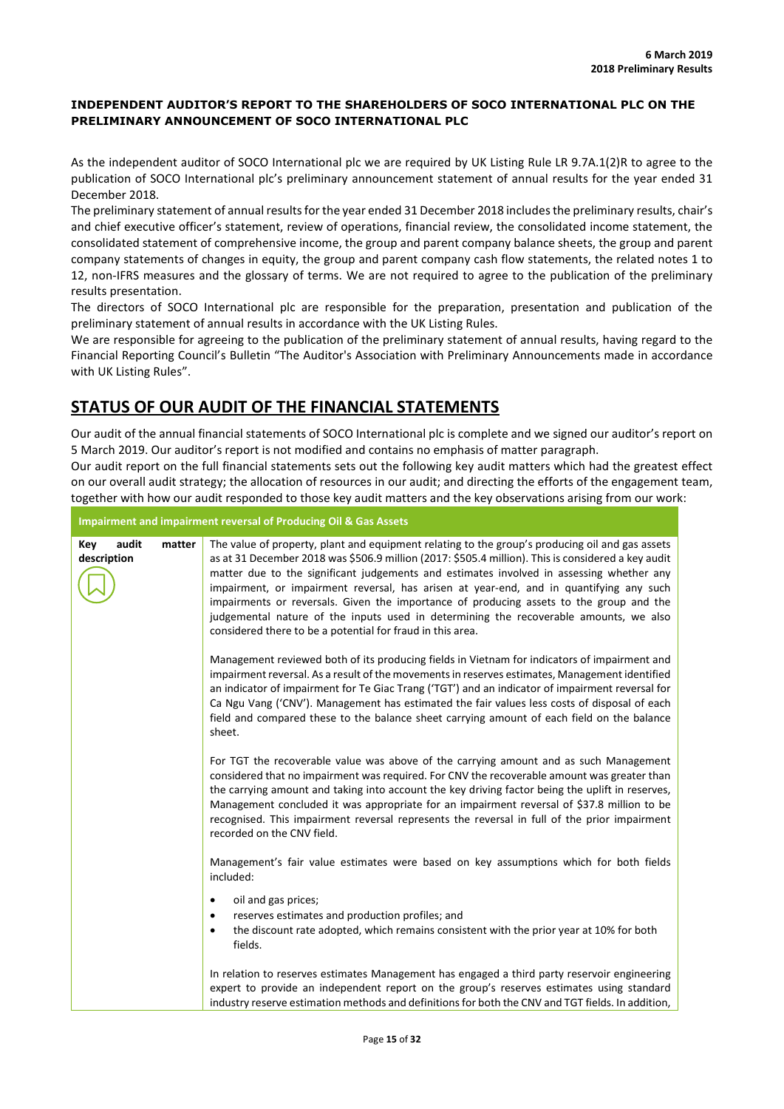# **INDEPENDENT AUDITOR'S REPORT TO THE SHAREHOLDERS OF SOCO INTERNATIONAL PLC ON THE PRELIMINARY ANNOUNCEMENT OF SOCO INTERNATIONAL PLC**

As the independent auditor of SOCO International plc we are required by UK Listing Rule LR 9.7A.1(2)R to agree to the publication of SOCO International plc's preliminary announcement statement of annual results for the year ended 31 December 2018.

The preliminary statement of annual results for the year ended 31 December 2018 includesthe preliminary results, chair's and chief executive officer's statement, review of operations, financial review, the consolidated income statement, the consolidated statement of comprehensive income, the group and parent company balance sheets, the group and parent company statements of changes in equity, the group and parent company cash flow statements, the related notes 1 to 12, non-IFRS measures and the glossary of terms. We are not required to agree to the publication of the preliminary results presentation.

The directors of SOCO International plc are responsible for the preparation, presentation and publication of the preliminary statement of annual results in accordance with the UK Listing Rules.

We are responsible for agreeing to the publication of the preliminary statement of annual results, having regard to the Financial Reporting Council's Bulletin "The Auditor's Association with Preliminary Announcements made in accordance with UK Listing Rules".

# **STATUS OF OUR AUDIT OF THE FINANCIAL STATEMENTS**

Our audit of the annual financial statements of SOCO International plc is complete and we signed our auditor's report on 5 March 2019. Our auditor's report is not modified and contains no emphasis of matter paragraph.

Our audit report on the full financial statements sets out the following key audit matters which had the greatest effect on our overall audit strategy; the allocation of resources in our audit; and directing the efforts of the engagement team, together with how our audit responded to those key audit matters and the key observations arising from our work:

**Impairment and impairment reversal of Producing Oil & Gas Assets**

| audit<br>Key<br>description | matter | The value of property, plant and equipment relating to the group's producing oil and gas assets<br>as at 31 December 2018 was \$506.9 million (2017: \$505.4 million). This is considered a key audit<br>matter due to the significant judgements and estimates involved in assessing whether any<br>impairment, or impairment reversal, has arisen at year-end, and in quantifying any such<br>impairments or reversals. Given the importance of producing assets to the group and the<br>judgemental nature of the inputs used in determining the recoverable amounts, we also<br>considered there to be a potential for fraud in this area. |
|-----------------------------|--------|------------------------------------------------------------------------------------------------------------------------------------------------------------------------------------------------------------------------------------------------------------------------------------------------------------------------------------------------------------------------------------------------------------------------------------------------------------------------------------------------------------------------------------------------------------------------------------------------------------------------------------------------|
|                             |        | Management reviewed both of its producing fields in Vietnam for indicators of impairment and<br>impairment reversal. As a result of the movements in reserves estimates, Management identified<br>an indicator of impairment for Te Giac Trang ('TGT') and an indicator of impairment reversal for<br>Ca Ngu Vang ('CNV'). Management has estimated the fair values less costs of disposal of each<br>field and compared these to the balance sheet carrying amount of each field on the balance<br>sheet.                                                                                                                                     |
|                             |        | For TGT the recoverable value was above of the carrying amount and as such Management<br>considered that no impairment was required. For CNV the recoverable amount was greater than<br>the carrying amount and taking into account the key driving factor being the uplift in reserves,<br>Management concluded it was appropriate for an impairment reversal of \$37.8 million to be<br>recognised. This impairment reversal represents the reversal in full of the prior impairment<br>recorded on the CNV field.                                                                                                                           |
|                             |        | Management's fair value estimates were based on key assumptions which for both fields<br>included:                                                                                                                                                                                                                                                                                                                                                                                                                                                                                                                                             |
|                             |        | oil and gas prices;<br>٠<br>reserves estimates and production profiles; and<br>٠<br>the discount rate adopted, which remains consistent with the prior year at 10% for both<br>٠<br>fields.                                                                                                                                                                                                                                                                                                                                                                                                                                                    |
|                             |        | In relation to reserves estimates Management has engaged a third party reservoir engineering<br>expert to provide an independent report on the group's reserves estimates using standard<br>industry reserve estimation methods and definitions for both the CNV and TGT fields. In addition,                                                                                                                                                                                                                                                                                                                                                  |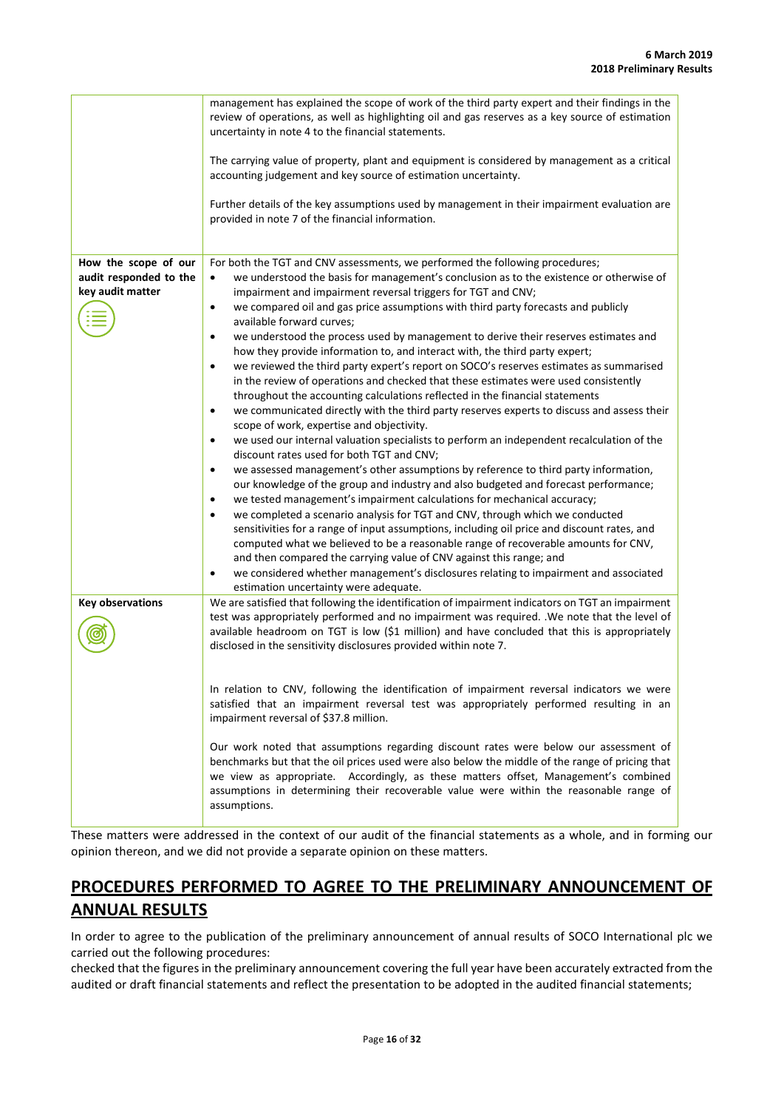|                                                                    | management has explained the scope of work of the third party expert and their findings in the<br>review of operations, as well as highlighting oil and gas reserves as a key source of estimation<br>uncertainty in note 4 to the financial statements.<br>The carrying value of property, plant and equipment is considered by management as a critical<br>accounting judgement and key source of estimation uncertainty.<br>Further details of the key assumptions used by management in their impairment evaluation are<br>provided in note 7 of the financial information.                                                                                                                                                                                                                                                                                                                                                                                                                                                                                                                                                                                                                                                                                                                                                                                                                                                                                                                                                                                                                                                                                                                                                                                                                                                                                                                              |
|--------------------------------------------------------------------|--------------------------------------------------------------------------------------------------------------------------------------------------------------------------------------------------------------------------------------------------------------------------------------------------------------------------------------------------------------------------------------------------------------------------------------------------------------------------------------------------------------------------------------------------------------------------------------------------------------------------------------------------------------------------------------------------------------------------------------------------------------------------------------------------------------------------------------------------------------------------------------------------------------------------------------------------------------------------------------------------------------------------------------------------------------------------------------------------------------------------------------------------------------------------------------------------------------------------------------------------------------------------------------------------------------------------------------------------------------------------------------------------------------------------------------------------------------------------------------------------------------------------------------------------------------------------------------------------------------------------------------------------------------------------------------------------------------------------------------------------------------------------------------------------------------------------------------------------------------------------------------------------------------|
| How the scope of our<br>audit responded to the<br>key audit matter | For both the TGT and CNV assessments, we performed the following procedures;<br>we understood the basis for management's conclusion as to the existence or otherwise of<br>$\bullet$<br>impairment and impairment reversal triggers for TGT and CNV;<br>we compared oil and gas price assumptions with third party forecasts and publicly<br>$\bullet$<br>available forward curves;<br>we understood the process used by management to derive their reserves estimates and<br>$\bullet$<br>how they provide information to, and interact with, the third party expert;<br>we reviewed the third party expert's report on SOCO's reserves estimates as summarised<br>$\bullet$<br>in the review of operations and checked that these estimates were used consistently<br>throughout the accounting calculations reflected in the financial statements<br>we communicated directly with the third party reserves experts to discuss and assess their<br>$\bullet$<br>scope of work, expertise and objectivity.<br>we used our internal valuation specialists to perform an independent recalculation of the<br>$\bullet$<br>discount rates used for both TGT and CNV;<br>we assessed management's other assumptions by reference to third party information,<br>$\bullet$<br>our knowledge of the group and industry and also budgeted and forecast performance;<br>we tested management's impairment calculations for mechanical accuracy;<br>$\bullet$<br>we completed a scenario analysis for TGT and CNV, through which we conducted<br>$\bullet$<br>sensitivities for a range of input assumptions, including oil price and discount rates, and<br>computed what we believed to be a reasonable range of recoverable amounts for CNV,<br>and then compared the carrying value of CNV against this range; and<br>we considered whether management's disclosures relating to impairment and associated<br>٠ |
| <b>Key observations</b>                                            | estimation uncertainty were adequate.<br>We are satisfied that following the identification of impairment indicators on TGT an impairment<br>test was appropriately performed and no impairment was required. .We note that the level of<br>available headroom on TGT is low (\$1 million) and have concluded that this is appropriately<br>disclosed in the sensitivity disclosures provided within note 7.<br>In relation to CNV, following the identification of impairment reversal indicators we were<br>satisfied that an impairment reversal test was appropriately performed resulting in an<br>impairment reversal of \$37.8 million.<br>Our work noted that assumptions regarding discount rates were below our assessment of<br>benchmarks but that the oil prices used were also below the middle of the range of pricing that<br>we view as appropriate. Accordingly, as these matters offset, Management's combined<br>assumptions in determining their recoverable value were within the reasonable range of<br>assumptions.                                                                                                                                                                                                                                                                                                                                                                                                                                                                                                                                                                                                                                                                                                                                                                                                                                                                  |

These matters were addressed in the context of our audit of the financial statements as a whole, and in forming our opinion thereon, and we did not provide a separate opinion on these matters.

# **PROCEDURES PERFORMED TO AGREE TO THE PRELIMINARY ANNOUNCEMENT OF ANNUAL RESULTS**

In order to agree to the publication of the preliminary announcement of annual results of SOCO International plc we carried out the following procedures:

checked that the figures in the preliminary announcement covering the full year have been accurately extracted from the audited or draft financial statements and reflect the presentation to be adopted in the audited financial statements;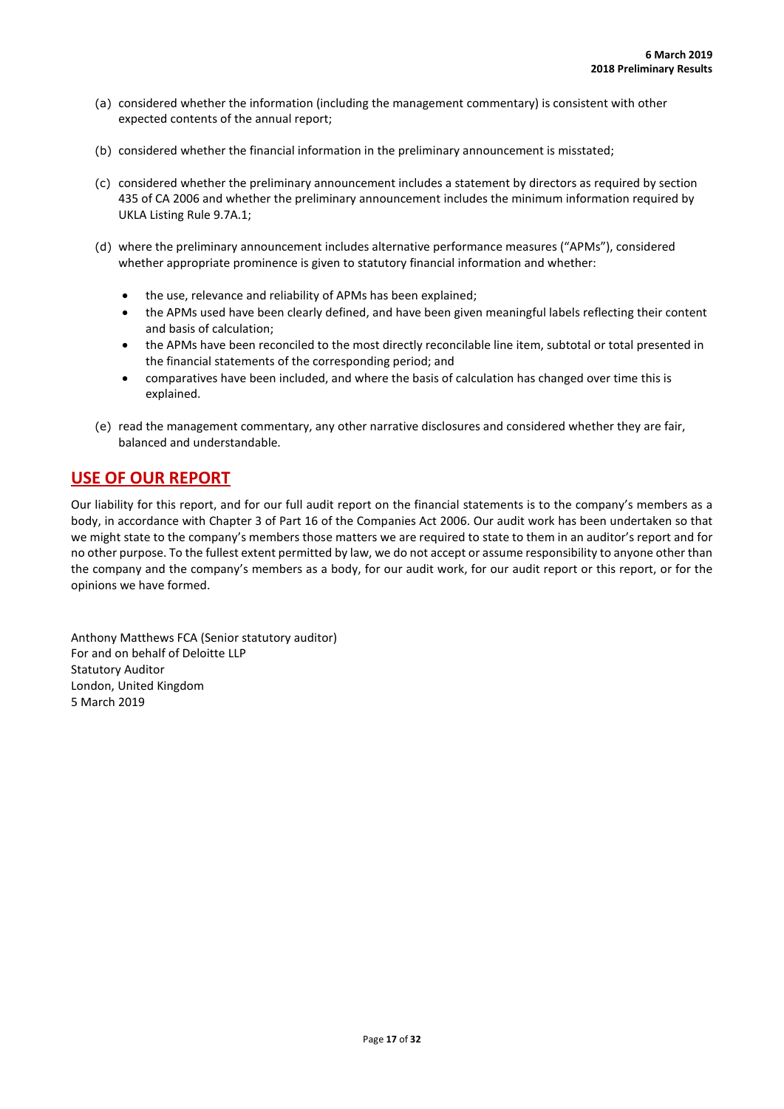- (a) considered whether the information (including the management commentary) is consistent with other expected contents of the annual report;
- (b) considered whether the financial information in the preliminary announcement is misstated;
- (c) considered whether the preliminary announcement includes a statement by directors as required by section 435 of CA 2006 and whether the preliminary announcement includes the minimum information required by UKLA Listing Rule 9.7A.1;
- (d) where the preliminary announcement includes alternative performance measures ("APMs"), considered whether appropriate prominence is given to statutory financial information and whether:
	- the use, relevance and reliability of APMs has been explained;
	- the APMs used have been clearly defined, and have been given meaningful labels reflecting their content and basis of calculation;
	- the APMs have been reconciled to the most directly reconcilable line item, subtotal or total presented in the financial statements of the corresponding period; and
	- comparatives have been included, and where the basis of calculation has changed over time this is explained.
- (e) read the management commentary, any other narrative disclosures and considered whether they are fair, balanced and understandable.

# **USE OF OUR REPORT**

Our liability for this report, and for our full audit report on the financial statements is to the company's members as a body, in accordance with Chapter 3 of Part 16 of the Companies Act 2006. Our audit work has been undertaken so that we might state to the company's members those matters we are required to state to them in an auditor's report and for no other purpose. To the fullest extent permitted by law, we do not accept or assume responsibility to anyone other than the company and the company's members as a body, for our audit work, for our audit report or this report, or for the opinions we have formed.

Anthony Matthews FCA (Senior statutory auditor) For and on behalf of Deloitte LLP Statutory Auditor London, United Kingdom 5 March 2019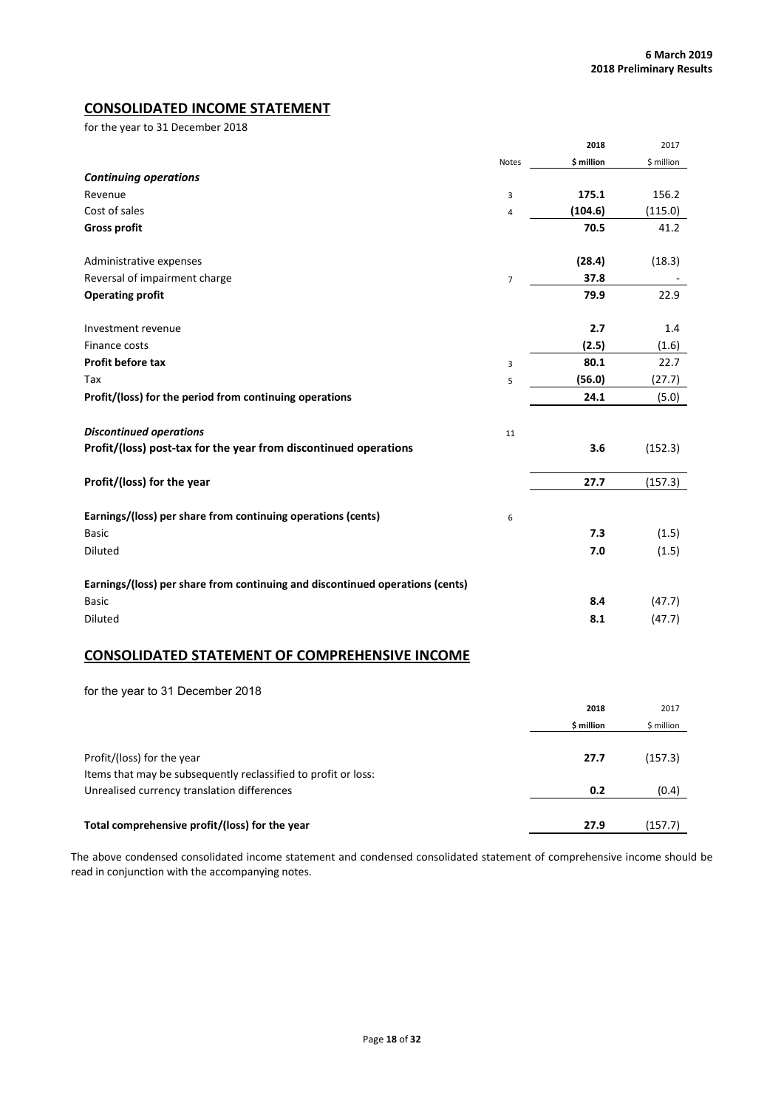# **CONSOLIDATED INCOME STATEMENT**

for the year to 31 December 2018

|                                                                               |                | 2018       | 2017       |
|-------------------------------------------------------------------------------|----------------|------------|------------|
|                                                                               | Notes          | \$ million | \$ million |
| <b>Continuing operations</b>                                                  |                |            |            |
| Revenue                                                                       | 3              | 175.1      | 156.2      |
| Cost of sales                                                                 | 4              | (104.6)    | (115.0)    |
| <b>Gross profit</b>                                                           |                | 70.5       | 41.2       |
| Administrative expenses                                                       |                | (28.4)     | (18.3)     |
| Reversal of impairment charge                                                 | $\overline{7}$ | 37.8       |            |
| <b>Operating profit</b>                                                       |                | 79.9       | 22.9       |
| Investment revenue                                                            |                | 2.7        | 1.4        |
| Finance costs                                                                 |                | (2.5)      | (1.6)      |
| Profit before tax                                                             | 3              | 80.1       | 22.7       |
| Tax                                                                           | 5              | (56.0)     | (27.7)     |
| Profit/(loss) for the period from continuing operations                       |                | 24.1       | (5.0)      |
| <b>Discontinued operations</b>                                                | 11             |            |            |
| Profit/(loss) post-tax for the year from discontinued operations              |                | 3.6        | (152.3)    |
| Profit/(loss) for the year                                                    |                | 27.7       | (157.3)    |
| Earnings/(loss) per share from continuing operations (cents)                  | 6              |            |            |
| <b>Basic</b>                                                                  |                | 7.3        | (1.5)      |
| Diluted                                                                       |                | 7.0        | (1.5)      |
| Earnings/(loss) per share from continuing and discontinued operations (cents) |                |            |            |
| <b>Basic</b>                                                                  |                | 8.4        | (47.7)     |
| Diluted                                                                       |                | 8.1        | (47.7)     |

# **CONSOLIDATED STATEMENT OF COMPREHENSIVE INCOME**

for the year to 31 December 2018

|                                                                | 2018       | 2017       |
|----------------------------------------------------------------|------------|------------|
|                                                                | \$ million | \$ million |
|                                                                |            |            |
| Profit/(loss) for the year                                     | 27.7       | (157.3)    |
| Items that may be subsequently reclassified to profit or loss: |            |            |
| Unrealised currency translation differences                    | 0.2        | (0.4)      |
|                                                                |            |            |
| Total comprehensive profit/(loss) for the year                 | 27.9       | (157.7)    |

The above condensed consolidated income statement and condensed consolidated statement of comprehensive income should be read in conjunction with the accompanying notes.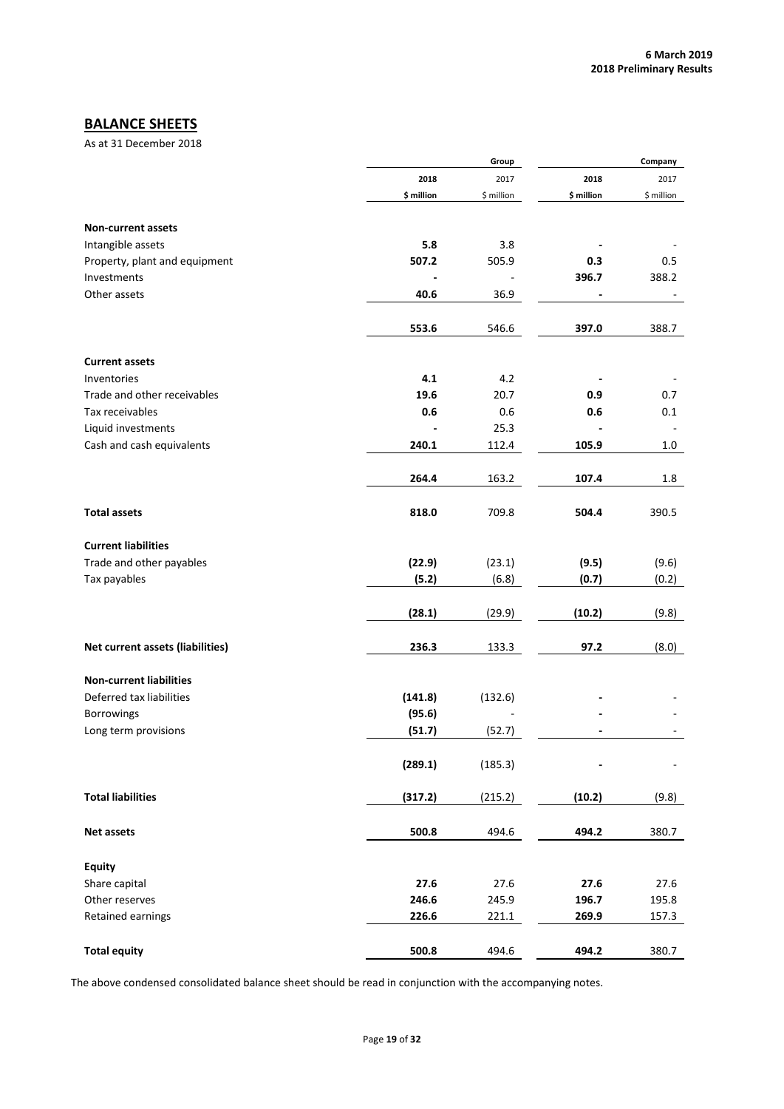# **BALANCE SHEETS**

As at 31 December 2018

|                                  |            | Group      |            | Company                  |
|----------------------------------|------------|------------|------------|--------------------------|
|                                  | 2018       | 2017       | 2018       | 2017                     |
|                                  | \$ million | \$ million | \$ million | \$ million               |
| <b>Non-current assets</b>        |            |            |            |                          |
| Intangible assets                | 5.8        | 3.8        |            |                          |
| Property, plant and equipment    | 507.2      | 505.9      | 0.3        | 0.5                      |
| Investments                      |            |            | 396.7      | 388.2                    |
|                                  |            |            |            |                          |
| Other assets                     | 40.6       | 36.9       |            |                          |
|                                  | 553.6      | 546.6      | 397.0      | 388.7                    |
| <b>Current assets</b>            |            |            |            |                          |
| Inventories                      | 4.1        | 4.2        |            |                          |
| Trade and other receivables      | 19.6       | 20.7       | 0.9        | 0.7                      |
| Tax receivables                  | 0.6        | 0.6        | 0.6        | 0.1                      |
| Liquid investments               |            | 25.3       |            | $\overline{\phantom{a}}$ |
|                                  |            |            |            |                          |
| Cash and cash equivalents        | 240.1      | 112.4      | 105.9      | 1.0                      |
|                                  | 264.4      | 163.2      | 107.4      | 1.8                      |
|                                  |            |            |            |                          |
| <b>Total assets</b>              | 818.0      | 709.8      | 504.4      | 390.5                    |
| <b>Current liabilities</b>       |            |            |            |                          |
| Trade and other payables         | (22.9)     | (23.1)     | (9.5)      | (9.6)                    |
| Tax payables                     | (5.2)      | (6.8)      | (0.7)      | (0.2)                    |
|                                  | (28.1)     | (29.9)     | (10.2)     | (9.8)                    |
|                                  |            |            |            |                          |
| Net current assets (liabilities) | 236.3      | 133.3      | 97.2       | (8.0)                    |
| <b>Non-current liabilities</b>   |            |            |            |                          |
| Deferred tax liabilities         | (141.8)    | (132.6)    |            |                          |
| <b>Borrowings</b>                | (95.6)     |            |            |                          |
| Long term provisions             | (51.7)     | (52.7)     |            |                          |
|                                  |            |            |            |                          |
|                                  | (289.1)    | (185.3)    |            |                          |
| <b>Total liabilities</b>         | (317.2)    | (215.2)    | (10.2)     | (9.8)                    |
|                                  |            |            |            |                          |
| Net assets                       | 500.8      | 494.6      | 494.2      | 380.7                    |
| <b>Equity</b>                    |            |            |            |                          |
| Share capital                    | 27.6       | 27.6       | 27.6       | 27.6                     |
| Other reserves                   | 246.6      | 245.9      | 196.7      | 195.8                    |
| Retained earnings                | 226.6      | 221.1      | 269.9      | 157.3                    |
|                                  |            |            |            |                          |
| <b>Total equity</b>              | 500.8      | 494.6      | 494.2      | 380.7                    |

The above condensed consolidated balance sheet should be read in conjunction with the accompanying notes.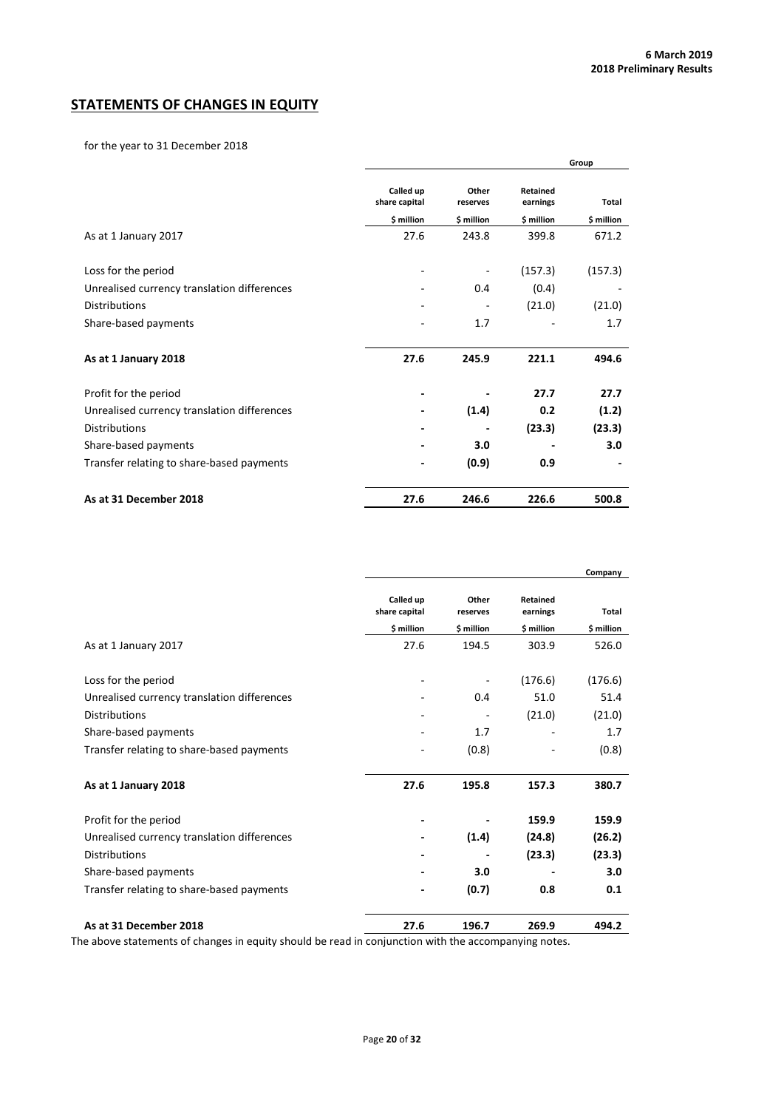# **STATEMENTS OF CHANGES IN EQUITY**

for the year to 31 December 2018

|                                             |                            |                   |                      | Group      |
|---------------------------------------------|----------------------------|-------------------|----------------------|------------|
|                                             | Called up<br>share capital | Other<br>reserves | Retained<br>earnings | Total      |
|                                             | \$ million                 | \$ million        | \$ million           | \$ million |
| As at 1 January 2017                        | 27.6                       | 243.8             | 399.8                | 671.2      |
| Loss for the period                         | -                          |                   | (157.3)              | (157.3)    |
| Unrealised currency translation differences |                            | 0.4               | (0.4)                |            |
| <b>Distributions</b>                        | -                          |                   | (21.0)               | (21.0)     |
| Share-based payments                        |                            | 1.7               |                      | 1.7        |
| As at 1 January 2018                        | 27.6                       | 245.9             | 221.1                | 494.6      |
| Profit for the period                       | $\overline{\phantom{a}}$   |                   | 27.7                 | 27.7       |
| Unrealised currency translation differences |                            | (1.4)             | 0.2                  | (1.2)      |
| <b>Distributions</b>                        | ٠                          |                   | (23.3)               | (23.3)     |
| Share-based payments                        |                            | 3.0               |                      | 3.0        |
| Transfer relating to share-based payments   | $\overline{\phantom{a}}$   | (0.9)             | 0.9                  |            |
| As at 31 December 2018                      | 27.6                       | 246.6             | 226.6                | 500.8      |

|                                             |                            |                   |                      | Company    |
|---------------------------------------------|----------------------------|-------------------|----------------------|------------|
|                                             | Called up<br>share capital | Other<br>reserves | Retained<br>earnings | Total      |
|                                             | \$ million                 | \$ million        | \$ million           | \$ million |
| As at 1 January 2017                        | 27.6                       | 194.5             | 303.9                | 526.0      |
| Loss for the period                         |                            |                   | (176.6)              | (176.6)    |
| Unrealised currency translation differences |                            | 0.4               | 51.0                 | 51.4       |
| <b>Distributions</b>                        |                            |                   | (21.0)               | (21.0)     |
| Share-based payments                        |                            | 1.7               |                      | 1.7        |
| Transfer relating to share-based payments   |                            | (0.8)             |                      | (0.8)      |
| As at 1 January 2018                        | 27.6                       | 195.8             | 157.3                | 380.7      |
| Profit for the period                       | -                          |                   | 159.9                | 159.9      |
| Unrealised currency translation differences |                            | (1.4)             | (24.8)               | (26.2)     |
| <b>Distributions</b>                        | -                          |                   | (23.3)               | (23.3)     |
| Share-based payments                        |                            | 3.0               |                      | 3.0        |
| Transfer relating to share-based payments   | -                          | (0.7)             | 0.8                  | 0.1        |
| As at 31 December 2018                      | 27.6                       | 196.7             | 269.9                | 494.2      |

The above statements of changes in equity should be read in conjunction with the accompanying notes.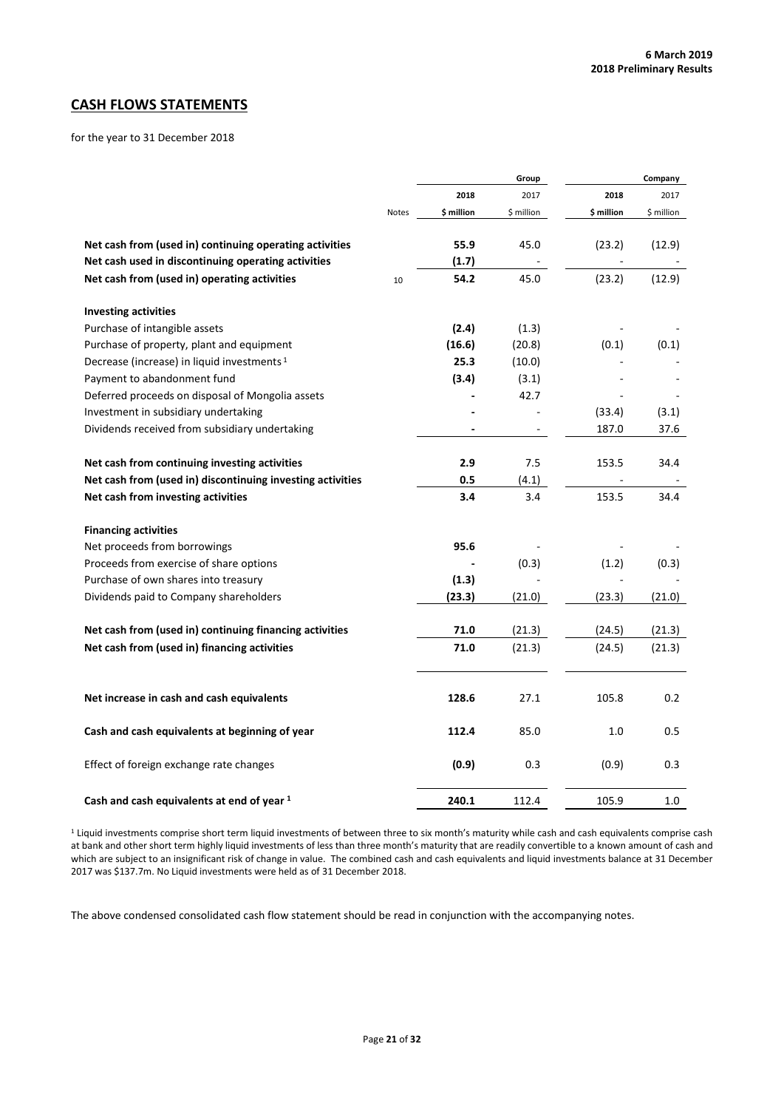# **CASH FLOWS STATEMENTS**

for the year to 31 December 2018

|                                                            |       | Group                    |            |            | Company    |
|------------------------------------------------------------|-------|--------------------------|------------|------------|------------|
|                                                            |       | 2018                     | 2017       | 2018       | 2017       |
|                                                            | Notes | \$ million               | \$ million | \$ million | \$ million |
| Net cash from (used in) continuing operating activities    |       | 55.9                     | 45.0       | (23.2)     | (12.9)     |
| Net cash used in discontinuing operating activities        |       | (1.7)                    |            |            |            |
| Net cash from (used in) operating activities               | 10    | 54.2                     | 45.0       | (23.2)     | (12.9)     |
| <b>Investing activities</b>                                |       |                          |            |            |            |
| Purchase of intangible assets                              |       | (2.4)                    | (1.3)      |            |            |
| Purchase of property, plant and equipment                  |       | (16.6)                   | (20.8)     | (0.1)      | (0.1)      |
| Decrease (increase) in liquid investments <sup>1</sup>     |       | 25.3                     | (10.0)     |            |            |
| Payment to abandonment fund                                |       | (3.4)                    | (3.1)      |            |            |
| Deferred proceeds on disposal of Mongolia assets           |       |                          | 42.7       |            |            |
| Investment in subsidiary undertaking                       |       |                          |            | (33.4)     | (3.1)      |
| Dividends received from subsidiary undertaking             |       | $\overline{\phantom{a}}$ |            | 187.0      | 37.6       |
| Net cash from continuing investing activities              |       | 2.9                      | 7.5        | 153.5      | 34.4       |
| Net cash from (used in) discontinuing investing activities |       | 0.5                      | (4.1)      |            |            |
| Net cash from investing activities                         |       | 3.4                      | 3.4        | 153.5      | 34.4       |
| <b>Financing activities</b>                                |       |                          |            |            |            |
| Net proceeds from borrowings                               |       | 95.6                     |            |            |            |
| Proceeds from exercise of share options                    |       |                          | (0.3)      | (1.2)      | (0.3)      |
| Purchase of own shares into treasury                       |       | (1.3)                    |            |            |            |
| Dividends paid to Company shareholders                     |       | (23.3)                   | (21.0)     | (23.3)     | (21.0)     |
| Net cash from (used in) continuing financing activities    |       | 71.0                     | (21.3)     | (24.5)     | (21.3)     |
| Net cash from (used in) financing activities               |       | 71.0                     | (21.3)     | (24.5)     | (21.3)     |
| Net increase in cash and cash equivalents                  |       | 128.6                    | 27.1       | 105.8      | 0.2        |
| Cash and cash equivalents at beginning of year             |       | 112.4                    | 85.0       | 1.0        | 0.5        |
| Effect of foreign exchange rate changes                    |       | (0.9)                    | 0.3        | (0.9)      | 0.3        |
| Cash and cash equivalents at end of year 1                 |       | 240.1                    | 112.4      | 105.9      | 1.0        |

<sup>1</sup> Liquid investments comprise short term liquid investments of between three to six month's maturity while cash and cash equivalents comprise cash at bank and other short term highly liquid investments of less than three month's maturity that are readily convertible to a known amount of cash and which are subject to an insignificant risk of change in value. The combined cash and cash equivalents and liquid investments balance at 31 December 2017 was \$137.7m. No Liquid investments were held as of 31 December 2018.

The above condensed consolidated cash flow statement should be read in conjunction with the accompanying notes.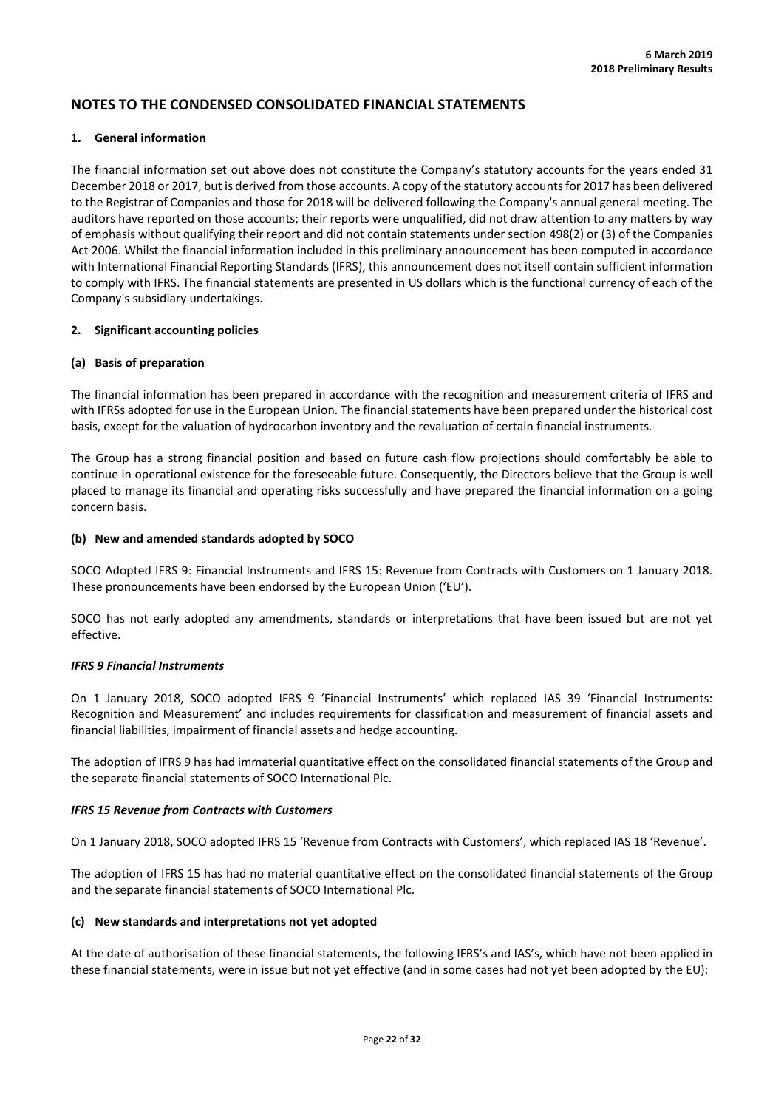# **NOTES TO THE CONDENSED CONSOLIDATED FINANCIAL STATEMENTS**

### **1. General information**

The financial information set out above does not constitute the Company's statutory accounts for the years ended 31 December 2018 or 2017, but is derived from those accounts. A copy of the statutory accounts for 2017 has been delivered to the Registrar of Companies and those for 2018 will be delivered following the Company's annual general meeting. The auditors have reported on those accounts; their reports were unqualified, did not draw attention to any matters by way of emphasis without qualifying their report and did not contain statements under section 498(2) or (3) of the Companies Act 2006. Whilst the financial information included in this preliminary announcement has been computed in accordance with International Financial Reporting Standards (IFRS), this announcement does not itself contain sufficient information to comply with IFRS. The financial statements are presented in US dollars which is the functional currency of each of the Company's subsidiary undertakings.

### **2. Significant accounting policies**

### **(a) Basis of preparation**

The financial information has been prepared in accordance with the recognition and measurement criteria of IFRS and with IFRSs adopted for use in the European Union. The financial statements have been prepared under the historical cost basis, except for the valuation of hydrocarbon inventory and the revaluation of certain financial instruments.

The Group has a strong financial position and based on future cash flow projections should comfortably be able to continue in operational existence for the foreseeable future. Consequently, the Directors believe that the Group is well placed to manage its financial and operating risks successfully and have prepared the financial information on a going concern basis.

### **(b) New and amended standards adopted by SOCO**

SOCO Adopted IFRS 9: Financial Instruments and IFRS 15: Revenue from Contracts with Customers on 1 January 2018. These pronouncements have been endorsed by the European Union ('EU').

SOCO has not early adopted any amendments, standards or interpretations that have been issued but are not yet effective.

# *IFRS 9 Financial Instruments*

On 1 January 2018, SOCO adopted IFRS 9 'Financial Instruments' which replaced IAS 39 'Financial Instruments: Recognition and Measurement' and includes requirements for classification and measurement of financial assets and financial liabilities, impairment of financial assets and hedge accounting.

The adoption of IFRS 9 has had immaterial quantitative effect on the consolidated financial statements of the Group and the separate financial statements of SOCO International Plc.

# *IFRS 15 Revenue from Contracts with Customers*

On 1 January 2018, SOCO adopted IFRS 15 'Revenue from Contracts with Customers', which replaced IAS 18 'Revenue'.

The adoption of IFRS 15 has had no material quantitative effect on the consolidated financial statements of the Group and the separate financial statements of SOCO International Plc.

# **(c) New standards and interpretations not yet adopted**

At the date of authorisation of these financial statements, the following IFRS's and IAS's, which have not been applied in these financial statements, were in issue but not yet effective (and in some cases had not yet been adopted by the EU):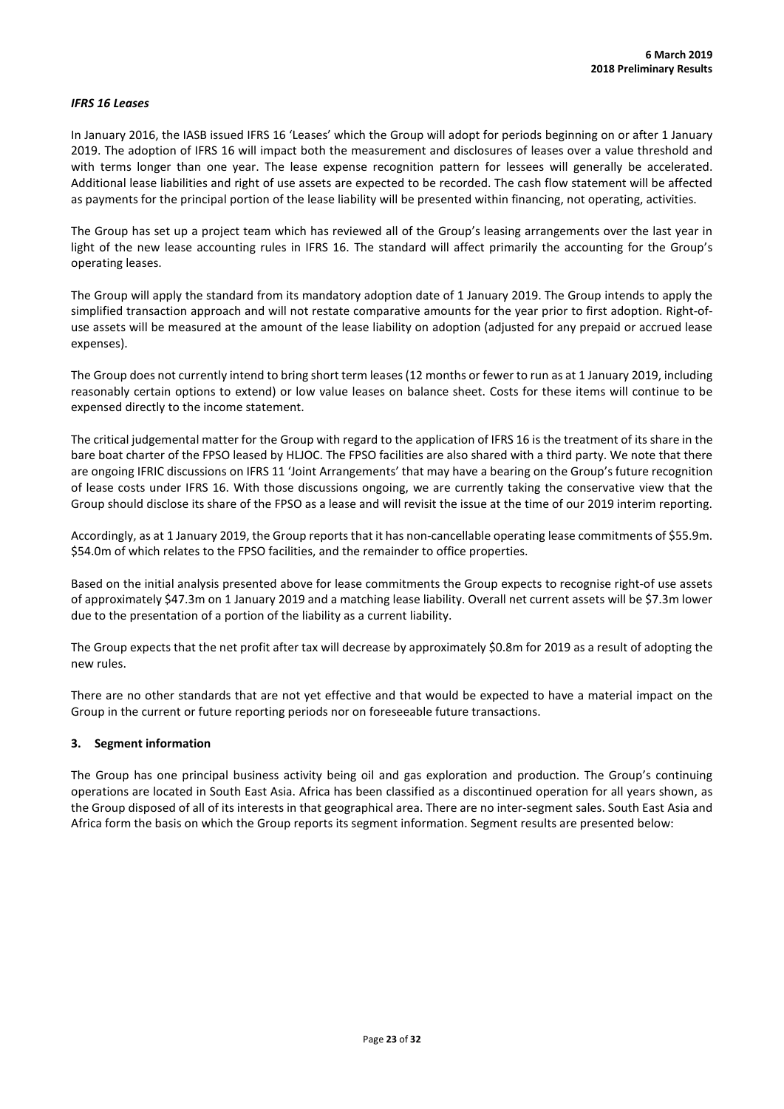### *IFRS 16 Leases*

In January 2016, the IASB issued IFRS 16 'Leases' which the Group will adopt for periods beginning on or after 1 January 2019. The adoption of IFRS 16 will impact both the measurement and disclosures of leases over a value threshold and with terms longer than one year. The lease expense recognition pattern for lessees will generally be accelerated. Additional lease liabilities and right of use assets are expected to be recorded. The cash flow statement will be affected as payments for the principal portion of the lease liability will be presented within financing, not operating, activities.

The Group has set up a project team which has reviewed all of the Group's leasing arrangements over the last year in light of the new lease accounting rules in IFRS 16. The standard will affect primarily the accounting for the Group's operating leases.

The Group will apply the standard from its mandatory adoption date of 1 January 2019. The Group intends to apply the simplified transaction approach and will not restate comparative amounts for the year prior to first adoption. Right-ofuse assets will be measured at the amount of the lease liability on adoption (adjusted for any prepaid or accrued lease expenses).

The Group does not currently intend to bring short term leases (12 months or fewer to run as at 1 January 2019, including reasonably certain options to extend) or low value leases on balance sheet. Costs for these items will continue to be expensed directly to the income statement.

The critical judgemental matter for the Group with regard to the application of IFRS 16 is the treatment of its share in the bare boat charter of the FPSO leased by HLJOC. The FPSO facilities are also shared with a third party. We note that there are ongoing IFRIC discussions on IFRS 11 'Joint Arrangements' that may have a bearing on the Group's future recognition of lease costs under IFRS 16. With those discussions ongoing, we are currently taking the conservative view that the Group should disclose its share of the FPSO as a lease and will revisit the issue at the time of our 2019 interim reporting.

Accordingly, as at 1 January 2019, the Group reports that it has non-cancellable operating lease commitments of \$55.9m. \$54.0m of which relates to the FPSO facilities, and the remainder to office properties.

Based on the initial analysis presented above for lease commitments the Group expects to recognise right-of use assets of approximately \$47.3m on 1 January 2019 and a matching lease liability. Overall net current assets will be \$7.3m lower due to the presentation of a portion of the liability as a current liability.

The Group expects that the net profit after tax will decrease by approximately \$0.8m for 2019 as a result of adopting the new rules.

There are no other standards that are not yet effective and that would be expected to have a material impact on the Group in the current or future reporting periods nor on foreseeable future transactions.

### **3. Segment information**

The Group has one principal business activity being oil and gas exploration and production. The Group's continuing operations are located in South East Asia. Africa has been classified as a discontinued operation for all years shown, as the Group disposed of all of its interests in that geographical area. There are no inter-segment sales. South East Asia and Africa form the basis on which the Group reports its segment information. Segment results are presented below: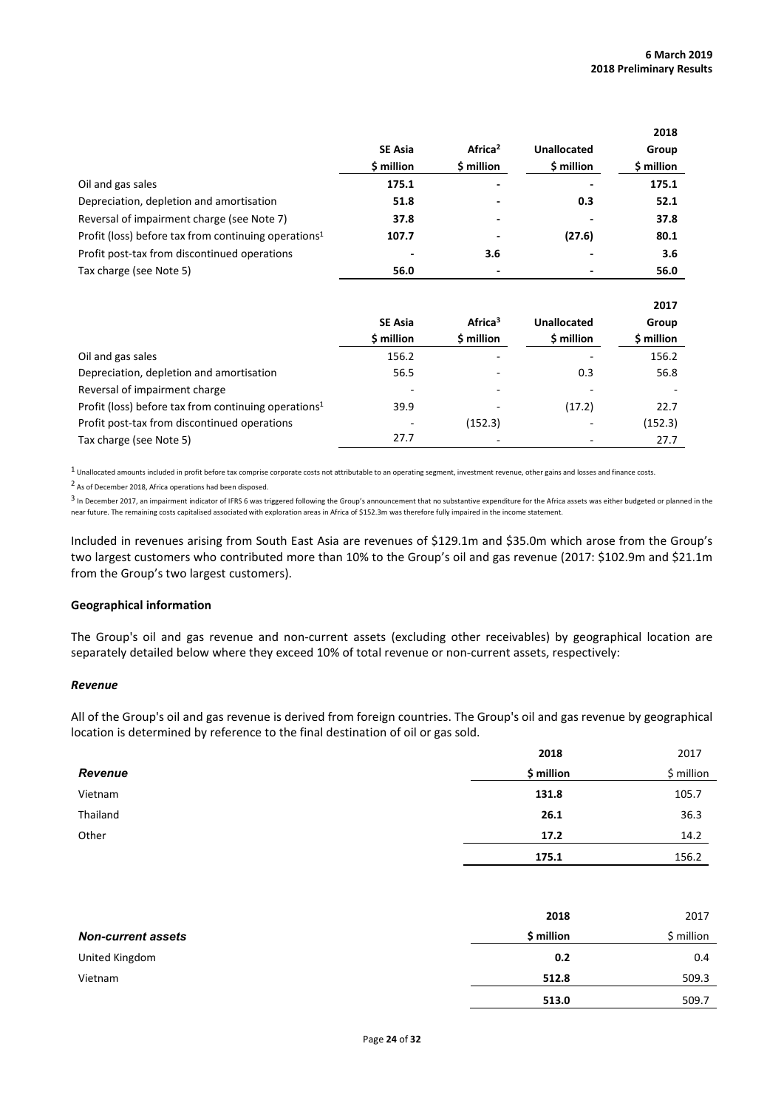**2018**

**2017**

|                                                                  |                |                     |             | 2018       |
|------------------------------------------------------------------|----------------|---------------------|-------------|------------|
|                                                                  | <b>SE Asia</b> | Africa <sup>2</sup> | Unallocated | Group      |
|                                                                  | \$ million     | \$ million          | \$ million  | \$ million |
| Oil and gas sales                                                | 175.1          |                     |             | 175.1      |
| Depreciation, depletion and amortisation                         | 51.8           |                     | 0.3         | 52.1       |
| Reversal of impairment charge (see Note 7)                       | 37.8           |                     |             | 37.8       |
| Profit (loss) before tax from continuing operations <sup>1</sup> | 107.7          |                     | (27.6)      | 80.1       |
| Profit post-tax from discontinued operations                     |                | 3.6                 |             | 3.6        |
| Tax charge (see Note 5)                                          | 56.0           |                     |             | 56.0       |

|                                                                  |                |                     |             | 2017       |
|------------------------------------------------------------------|----------------|---------------------|-------------|------------|
|                                                                  | <b>SE Asia</b> | Africa <sup>3</sup> | Unallocated | Group      |
|                                                                  | \$ million     | \$ million          | \$ million  | \$ million |
| Oil and gas sales                                                | 156.2          |                     |             | 156.2      |
| Depreciation, depletion and amortisation                         | 56.5           |                     | 0.3         | 56.8       |
| Reversal of impairment charge                                    |                |                     |             |            |
| Profit (loss) before tax from continuing operations <sup>1</sup> | 39.9           |                     | (17.2)      | 22.7       |
| Profit post-tax from discontinued operations                     |                | (152.3)             |             | (152.3)    |
| Tax charge (see Note 5)                                          | 27.7           |                     |             | 27.7       |

 $1$  Unallocated amounts included in profit before tax comprise corporate costs not attributable to an operating segment, investment revenue, other gains and losses and finance costs.

2 As of December 2018, Africa operations had been disposed.

<sup>3</sup> In December 2017, an impairment indicator of IFRS 6 was triggered following the Group's announcement that no substantive expenditure for the Africa assets was either budgeted or planned in the near future. The remaining costs capitalised associated with exploration areas in Africa of \$152.3m was therefore fully impaired in the income statement.

Included in revenues arising from South East Asia are revenues of \$129.1m and \$35.0m which arose from the Group's two largest customers who contributed more than 10% to the Group's oil and gas revenue (2017: \$102.9m and \$21.1m from the Group's two largest customers).

### **Geographical information**

The Group's oil and gas revenue and non-current assets (excluding other receivables) by geographical location are separately detailed below where they exceed 10% of total revenue or non-current assets, respectively:

### *Revenue*

All of the Group's oil and gas revenue is derived from foreign countries. The Group's oil and gas revenue by geographical location is determined by reference to the final destination of oil or gas sold.

|          | 2018       | 2017       |
|----------|------------|------------|
| Revenue  | \$ million | \$ million |
| Vietnam  | 131.8      | 105.7      |
| Thailand | 26.1       | 36.3       |
| Other    | 17.2       | 14.2       |
|          | 175.1      | 156.2      |

|                           | 2018       | 2017       |
|---------------------------|------------|------------|
| <b>Non-current assets</b> | \$ million | \$ million |
| United Kingdom            | 0.2        | 0.4        |
| Vietnam                   | 512.8      | 509.3      |
|                           | 513.0      | 509.7      |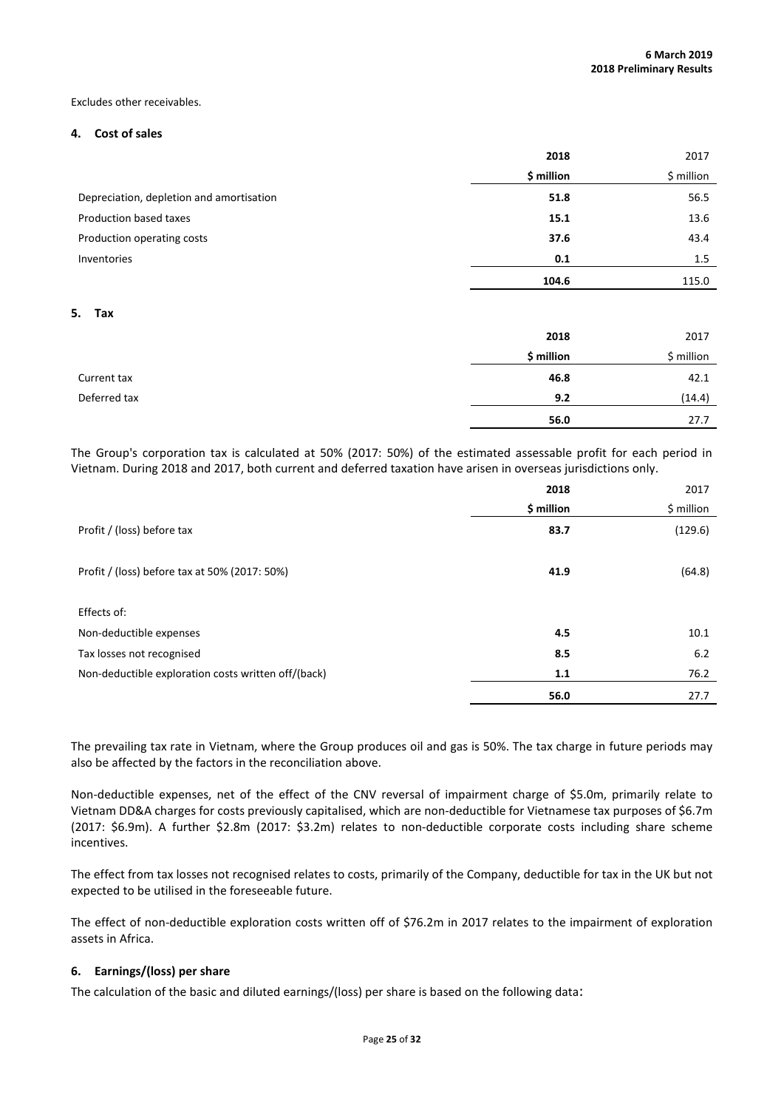#### Excludes other receivables.

### **4. Cost of sales**

|                                          | 2018       |             |
|------------------------------------------|------------|-------------|
|                                          | \$ million | $$$ million |
| Depreciation, depletion and amortisation | 51.8       | 56.5        |
| Production based taxes                   | 15.1       | 13.6        |
| Production operating costs               | 37.6       | 43.4        |
| Inventories                              | 0.1        | 1.5         |
|                                          | 104.6      | 115.0       |

#### **5. Tax**

|              | 2018       | 2017       |
|--------------|------------|------------|
|              | \$ million | \$ million |
| Current tax  | 46.8       | 42.1       |
| Deferred tax | 9.2        | (14.4)     |
|              | 56.0       | 27.7       |

The Group's corporation tax is calculated at 50% (2017: 50%) of the estimated assessable profit for each period in Vietnam. During 2018 and 2017, both current and deferred taxation have arisen in overseas jurisdictions only.

|                                                     | 2018       | 2017       |
|-----------------------------------------------------|------------|------------|
|                                                     | \$ million | \$ million |
| Profit / (loss) before tax                          | 83.7       | (129.6)    |
| Profit / (loss) before tax at 50% (2017: 50%)       | 41.9       | (64.8)     |
| Effects of:                                         |            |            |
| Non-deductible expenses                             | 4.5        | 10.1       |
| Tax losses not recognised                           | 8.5        | 6.2        |
| Non-deductible exploration costs written off/(back) | 1.1        | 76.2       |
|                                                     | 56.0       | 27.7       |

The prevailing tax rate in Vietnam, where the Group produces oil and gas is 50%. The tax charge in future periods may also be affected by the factors in the reconciliation above.

Non-deductible expenses, net of the effect of the CNV reversal of impairment charge of \$5.0m, primarily relate to Vietnam DD&A charges for costs previously capitalised, which are non-deductible for Vietnamese tax purposes of \$6.7m (2017: \$6.9m). A further \$2.8m (2017: \$3.2m) relates to non-deductible corporate costs including share scheme incentives.

The effect from tax losses not recognised relates to costs, primarily of the Company, deductible for tax in the UK but not expected to be utilised in the foreseeable future.

The effect of non-deductible exploration costs written off of \$76.2m in 2017 relates to the impairment of exploration assets in Africa.

# **6. Earnings/(loss) per share**

The calculation of the basic and diluted earnings/(loss) per share is based on the following data: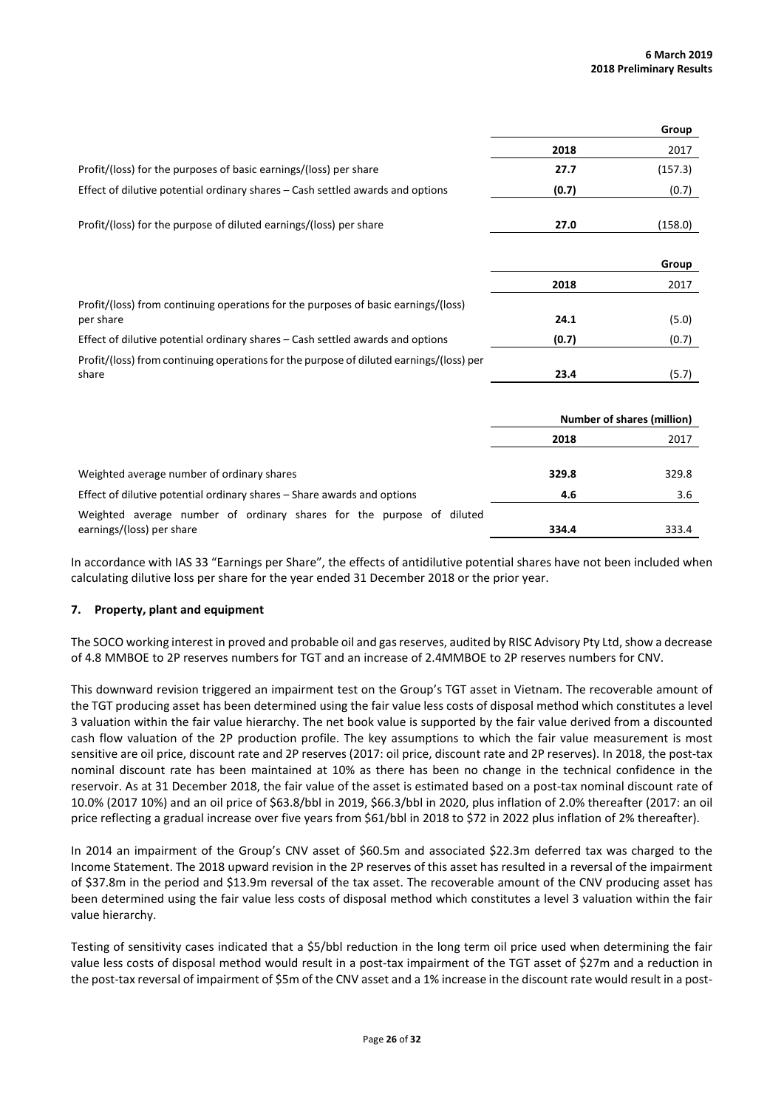|                                                                                                  |       | Group                             |
|--------------------------------------------------------------------------------------------------|-------|-----------------------------------|
|                                                                                                  | 2018  | 2017                              |
| Profit/(loss) for the purposes of basic earnings/(loss) per share                                | 27.7  | (157.3)                           |
| Effect of dilutive potential ordinary shares - Cash settled awards and options                   | (0.7) | (0.7)                             |
| Profit/(loss) for the purpose of diluted earnings/(loss) per share                               | 27.0  | (158.0)                           |
|                                                                                                  |       | Group                             |
|                                                                                                  | 2018  | 2017                              |
| Profit/(loss) from continuing operations for the purposes of basic earnings/(loss)               |       |                                   |
| per share                                                                                        | 24.1  | (5.0)                             |
| Effect of dilutive potential ordinary shares – Cash settled awards and options                   | (0.7) | (0.7)                             |
| Profit/(loss) from continuing operations for the purpose of diluted earnings/(loss) per<br>share | 23.4  | (5.7)                             |
|                                                                                                  |       |                                   |
|                                                                                                  |       | <b>Number of shares (million)</b> |
|                                                                                                  | 2018  | 2017                              |
| Weighted average number of ordinary shares                                                       | 329.8 | 329.8                             |
| Effect of dilutive potential ordinary shares – Share awards and options                          | 4.6   | 3.6                               |
| Weighted average number of ordinary shares for the purpose of diluted                            |       |                                   |
| earnings/(loss) per share                                                                        | 334.4 | 333.4                             |

In accordance with IAS 33 "Earnings per Share", the effects of antidilutive potential shares have not been included when calculating dilutive loss per share for the year ended 31 December 2018 or the prior year.

# **7. Property, plant and equipment**

The SOCO working interest in proved and probable oil and gas reserves, audited by RISC Advisory Pty Ltd, show a decrease of 4.8 MMBOE to 2P reserves numbers for TGT and an increase of 2.4MMBOE to 2P reserves numbers for CNV.

This downward revision triggered an impairment test on the Group's TGT asset in Vietnam. The recoverable amount of the TGT producing asset has been determined using the fair value less costs of disposal method which constitutes a level 3 valuation within the fair value hierarchy. The net book value is supported by the fair value derived from a discounted cash flow valuation of the 2P production profile. The key assumptions to which the fair value measurement is most sensitive are oil price, discount rate and 2P reserves (2017: oil price, discount rate and 2P reserves). In 2018, the post-tax nominal discount rate has been maintained at 10% as there has been no change in the technical confidence in the reservoir. As at 31 December 2018, the fair value of the asset is estimated based on a post-tax nominal discount rate of 10.0% (2017 10%) and an oil price of \$63.8/bbl in 2019, \$66.3/bbl in 2020, plus inflation of 2.0% thereafter (2017: an oil price reflecting a gradual increase over five years from \$61/bbl in 2018 to \$72 in 2022 plus inflation of 2% thereafter).

In 2014 an impairment of the Group's CNV asset of \$60.5m and associated \$22.3m deferred tax was charged to the Income Statement. The 2018 upward revision in the 2P reserves of this asset has resulted in a reversal of the impairment of \$37.8m in the period and \$13.9m reversal of the tax asset. The recoverable amount of the CNV producing asset has been determined using the fair value less costs of disposal method which constitutes a level 3 valuation within the fair value hierarchy.

Testing of sensitivity cases indicated that a \$5/bbl reduction in the long term oil price used when determining the fair value less costs of disposal method would result in a post-tax impairment of the TGT asset of \$27m and a reduction in the post-tax reversal of impairment of \$5m of the CNV asset and a 1% increase in the discount rate would result in a post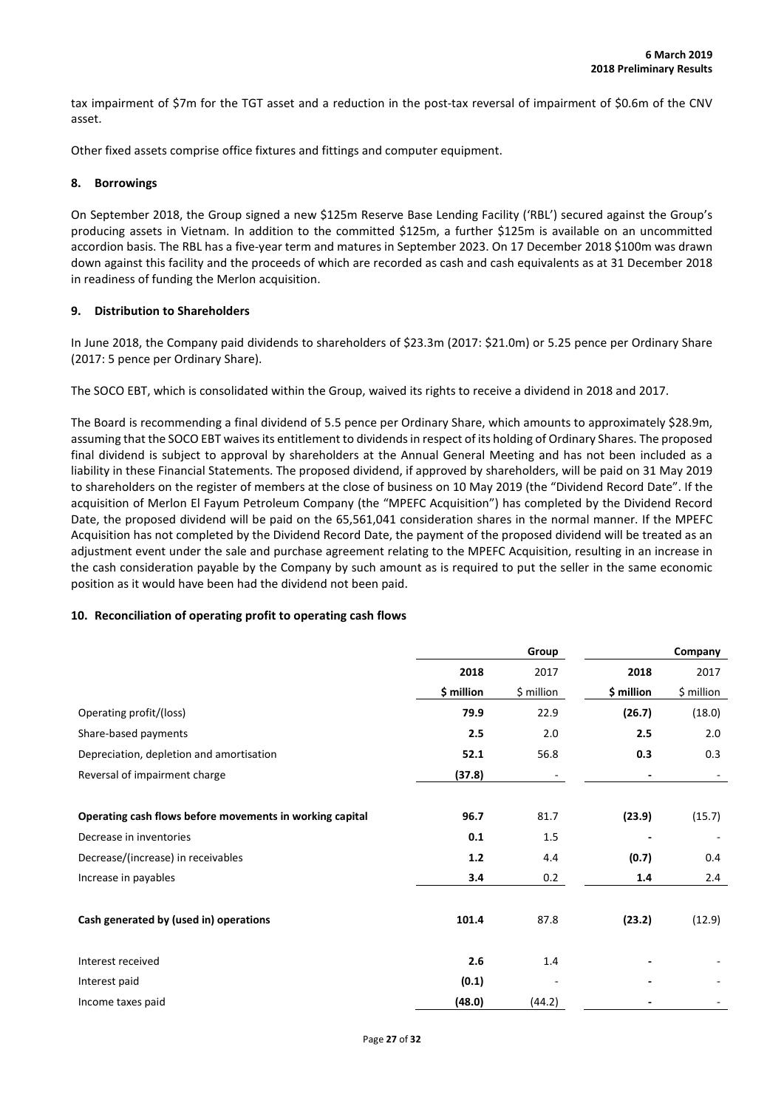tax impairment of \$7m for the TGT asset and a reduction in the post-tax reversal of impairment of \$0.6m of the CNV asset.

Other fixed assets comprise office fixtures and fittings and computer equipment.

### **8. Borrowings**

On September 2018, the Group signed a new \$125m Reserve Base Lending Facility ('RBL') secured against the Group's producing assets in Vietnam. In addition to the committed \$125m, a further \$125m is available on an uncommitted accordion basis. The RBL has a five-year term and matures in September 2023. On 17 December 2018 \$100m was drawn down against this facility and the proceeds of which are recorded as cash and cash equivalents as at 31 December 2018 in readiness of funding the Merlon acquisition.

### **9. Distribution to Shareholders**

In June 2018, the Company paid dividends to shareholders of \$23.3m (2017: \$21.0m) or 5.25 pence per Ordinary Share (2017: 5 pence per Ordinary Share).

The SOCO EBT, which is consolidated within the Group, waived its rights to receive a dividend in 2018 and 2017.

The Board is recommending a final dividend of 5.5 pence per Ordinary Share, which amounts to approximately \$28.9m, assuming that the SOCO EBT waives its entitlement to dividends in respect of its holding of Ordinary Shares. The proposed final dividend is subject to approval by shareholders at the Annual General Meeting and has not been included as a liability in these Financial Statements. The proposed dividend, if approved by shareholders, will be paid on 31 May 2019 to shareholders on the register of members at the close of business on 10 May 2019 (the "Dividend Record Date". If the acquisition of Merlon El Fayum Petroleum Company (the "MPEFC Acquisition") has completed by the Dividend Record Date, the proposed dividend will be paid on the 65,561,041 consideration shares in the normal manner. If the MPEFC Acquisition has not completed by the Dividend Record Date, the payment of the proposed dividend will be treated as an adjustment event under the sale and purchase agreement relating to the MPEFC Acquisition, resulting in an increase in the cash consideration payable by the Company by such amount as is required to put the seller in the same economic position as it would have been had the dividend not been paid.

# **10. Reconciliation of operating profit to operating cash flows**

|                                                          |            | Group      |            | Company    |
|----------------------------------------------------------|------------|------------|------------|------------|
|                                                          | 2018       | 2017       | 2018       | 2017       |
|                                                          | \$ million | \$ million | \$ million | \$ million |
| Operating profit/(loss)                                  | 79.9       | 22.9       | (26.7)     | (18.0)     |
| Share-based payments                                     | 2.5        | 2.0        | 2.5        | 2.0        |
| Depreciation, depletion and amortisation                 | 52.1       | 56.8       | 0.3        | 0.3        |
| Reversal of impairment charge                            | (37.8)     |            |            |            |
|                                                          |            |            |            |            |
| Operating cash flows before movements in working capital | 96.7       | 81.7       | (23.9)     | (15.7)     |
| Decrease in inventories                                  | 0.1        | 1.5        |            |            |
| Decrease/(increase) in receivables                       | $1.2$      | 4.4        | (0.7)      | 0.4        |
| Increase in payables                                     | 3.4        | 0.2        | 1.4        | 2.4        |
|                                                          |            |            |            |            |
| Cash generated by (used in) operations                   | 101.4      | 87.8       | (23.2)     | (12.9)     |
|                                                          |            |            |            |            |
| Interest received                                        | 2.6        | 1.4        |            |            |
| Interest paid                                            | (0.1)      |            |            |            |
| Income taxes paid                                        | (48.0)     | (44.2)     |            |            |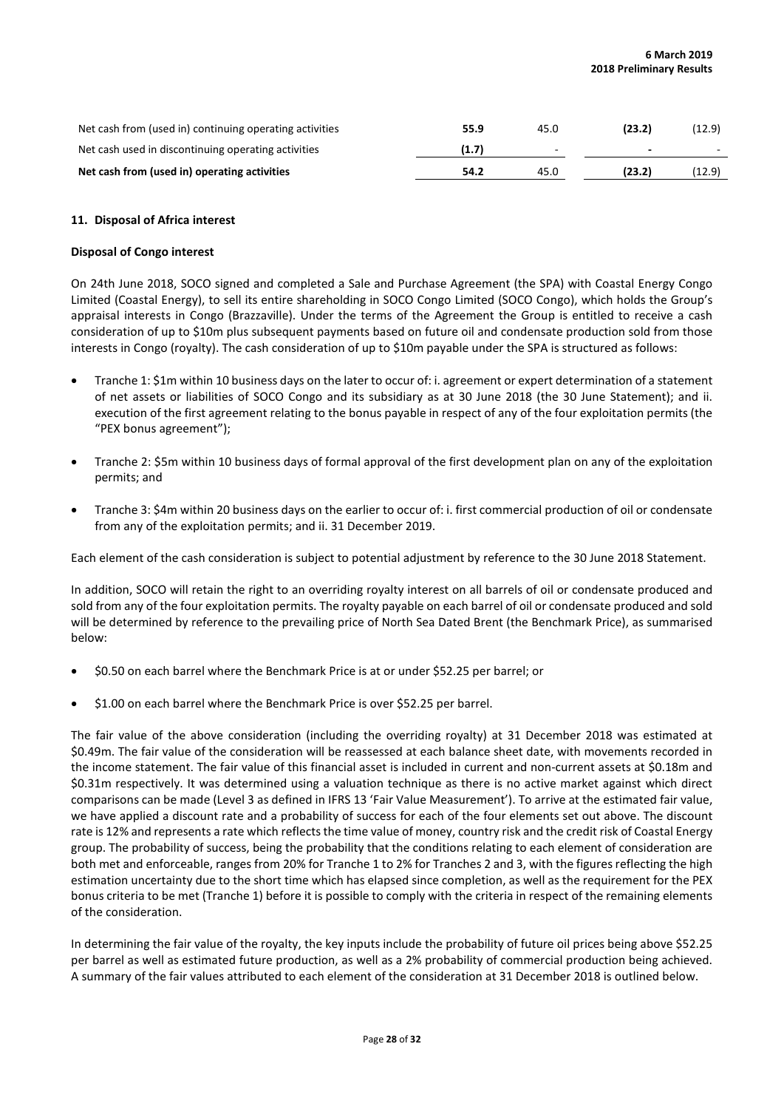| Net cash from (used in) continuing operating activities | 55.9  | 45.0 | (23.2) | (12.9) |
|---------------------------------------------------------|-------|------|--------|--------|
| Net cash used in discontinuing operating activities     | (1.7) | -    |        | $\sim$ |
| Net cash from (used in) operating activities            | 54.2  | 45.0 | (23.2) | (12.9) |

### **11. Disposal of Africa interest**

### **Disposal of Congo interest**

On 24th June 2018, SOCO signed and completed a Sale and Purchase Agreement (the SPA) with Coastal Energy Congo Limited (Coastal Energy), to sell its entire shareholding in SOCO Congo Limited (SOCO Congo), which holds the Group's appraisal interests in Congo (Brazzaville). Under the terms of the Agreement the Group is entitled to receive a cash consideration of up to \$10m plus subsequent payments based on future oil and condensate production sold from those interests in Congo (royalty). The cash consideration of up to \$10m payable under the SPA is structured as follows:

- Tranche 1: \$1m within 10 business days on the later to occur of: i. agreement or expert determination of a statement of net assets or liabilities of SOCO Congo and its subsidiary as at 30 June 2018 (the 30 June Statement); and ii. execution of the first agreement relating to the bonus payable in respect of any of the four exploitation permits (the "PEX bonus agreement");
- Tranche 2: \$5m within 10 business days of formal approval of the first development plan on any of the exploitation permits; and
- Tranche 3: \$4m within 20 business days on the earlier to occur of: i. first commercial production of oil or condensate from any of the exploitation permits; and ii. 31 December 2019.

Each element of the cash consideration is subject to potential adjustment by reference to the 30 June 2018 Statement.

In addition, SOCO will retain the right to an overriding royalty interest on all barrels of oil or condensate produced and sold from any of the four exploitation permits. The royalty payable on each barrel of oil or condensate produced and sold will be determined by reference to the prevailing price of North Sea Dated Brent (the Benchmark Price), as summarised below:

- \$0.50 on each barrel where the Benchmark Price is at or under \$52.25 per barrel; or
- \$1.00 on each barrel where the Benchmark Price is over \$52.25 per barrel.

The fair value of the above consideration (including the overriding royalty) at 31 December 2018 was estimated at \$0.49m. The fair value of the consideration will be reassessed at each balance sheet date, with movements recorded in the income statement. The fair value of this financial asset is included in current and non-current assets at \$0.18m and \$0.31m respectively. It was determined using a valuation technique as there is no active market against which direct comparisons can be made (Level 3 as defined in IFRS 13 'Fair Value Measurement'). To arrive at the estimated fair value, we have applied a discount rate and a probability of success for each of the four elements set out above. The discount rate is 12% and represents a rate which reflects the time value of money, country risk and the credit risk of Coastal Energy group. The probability of success, being the probability that the conditions relating to each element of consideration are both met and enforceable, ranges from 20% for Tranche 1 to 2% for Tranches 2 and 3, with the figures reflecting the high estimation uncertainty due to the short time which has elapsed since completion, as well as the requirement for the PEX bonus criteria to be met (Tranche 1) before it is possible to comply with the criteria in respect of the remaining elements of the consideration.

In determining the fair value of the royalty, the key inputs include the probability of future oil prices being above \$52.25 per barrel as well as estimated future production, as well as a 2% probability of commercial production being achieved. A summary of the fair values attributed to each element of the consideration at 31 December 2018 is outlined below.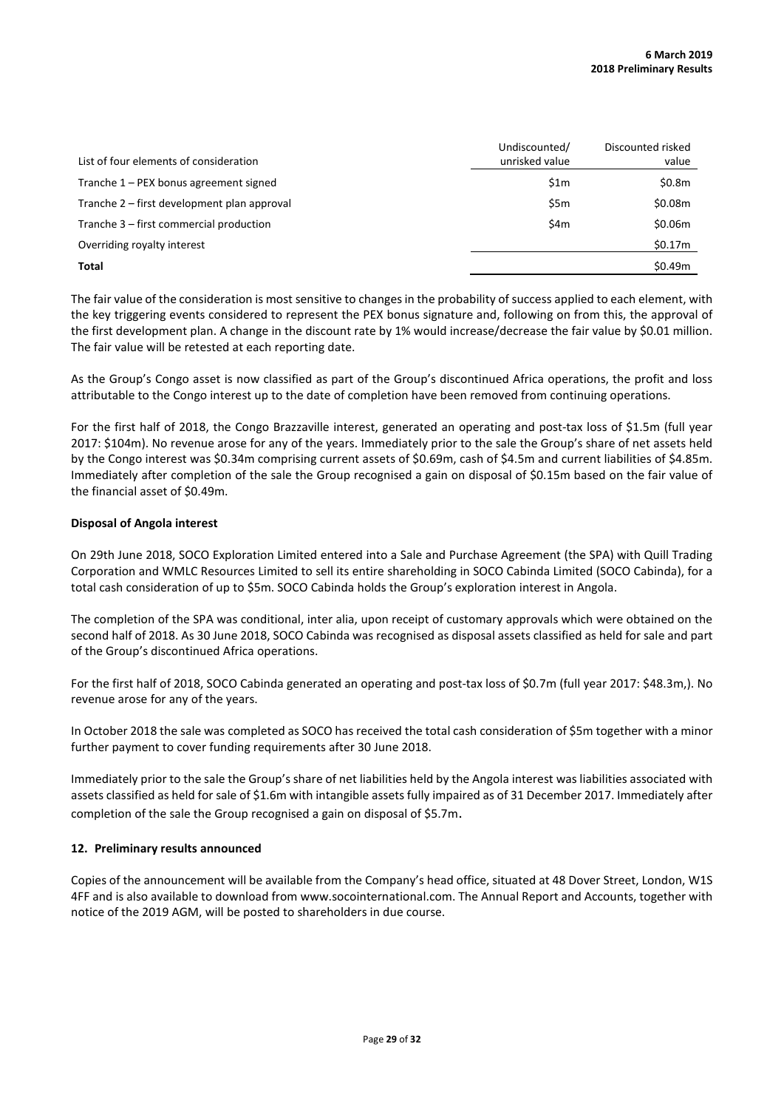| List of four elements of consideration      | Undiscounted/<br>unrisked value | Discounted risked<br>value |
|---------------------------------------------|---------------------------------|----------------------------|
| Tranche $1 - PEX$ bonus agreement signed    | \$1m                            | \$0.8m                     |
| Tranche 2 – first development plan approval | \$5 <sub>m</sub>                | \$0.08m                    |
| Tranche 3 – first commercial production     | \$4m                            | \$0.06m                    |
| Overriding royalty interest                 |                                 | \$0.17m                    |
| Total                                       |                                 | \$0.49m                    |

The fair value of the consideration is most sensitive to changes in the probability of success applied to each element, with the key triggering events considered to represent the PEX bonus signature and, following on from this, the approval of the first development plan. A change in the discount rate by 1% would increase/decrease the fair value by \$0.01 million. The fair value will be retested at each reporting date.

As the Group's Congo asset is now classified as part of the Group's discontinued Africa operations, the profit and loss attributable to the Congo interest up to the date of completion have been removed from continuing operations.

For the first half of 2018, the Congo Brazzaville interest, generated an operating and post-tax loss of \$1.5m (full year 2017: \$104m). No revenue arose for any of the years. Immediately prior to the sale the Group's share of net assets held by the Congo interest was \$0.34m comprising current assets of \$0.69m, cash of \$4.5m and current liabilities of \$4.85m. Immediately after completion of the sale the Group recognised a gain on disposal of \$0.15m based on the fair value of the financial asset of \$0.49m.

# **Disposal of Angola interest**

On 29th June 2018, SOCO Exploration Limited entered into a Sale and Purchase Agreement (the SPA) with Quill Trading Corporation and WMLC Resources Limited to sell its entire shareholding in SOCO Cabinda Limited (SOCO Cabinda), for a total cash consideration of up to \$5m. SOCO Cabinda holds the Group's exploration interest in Angola.

The completion of the SPA was conditional, inter alia, upon receipt of customary approvals which were obtained on the second half of 2018. As 30 June 2018, SOCO Cabinda was recognised as disposal assets classified as held for sale and part of the Group's discontinued Africa operations.

For the first half of 2018, SOCO Cabinda generated an operating and post-tax loss of \$0.7m (full year 2017: \$48.3m,). No revenue arose for any of the years.

In October 2018 the sale was completed as SOCO has received the total cash consideration of \$5m together with a minor further payment to cover funding requirements after 30 June 2018.

Immediately prior to the sale the Group's share of net liabilities held by the Angola interest was liabilities associated with assets classified as held for sale of \$1.6m with intangible assets fully impaired as of 31 December 2017. Immediately after completion of the sale the Group recognised a gain on disposal of \$5.7m.

# **12. Preliminary results announced**

Copies of the announcement will be available from the Company's head office, situated at 48 Dover Street, London, W1S 4FF and is also available to download from www.socointernational.com. The Annual Report and Accounts, together with notice of the 2019 AGM, will be posted to shareholders in due course.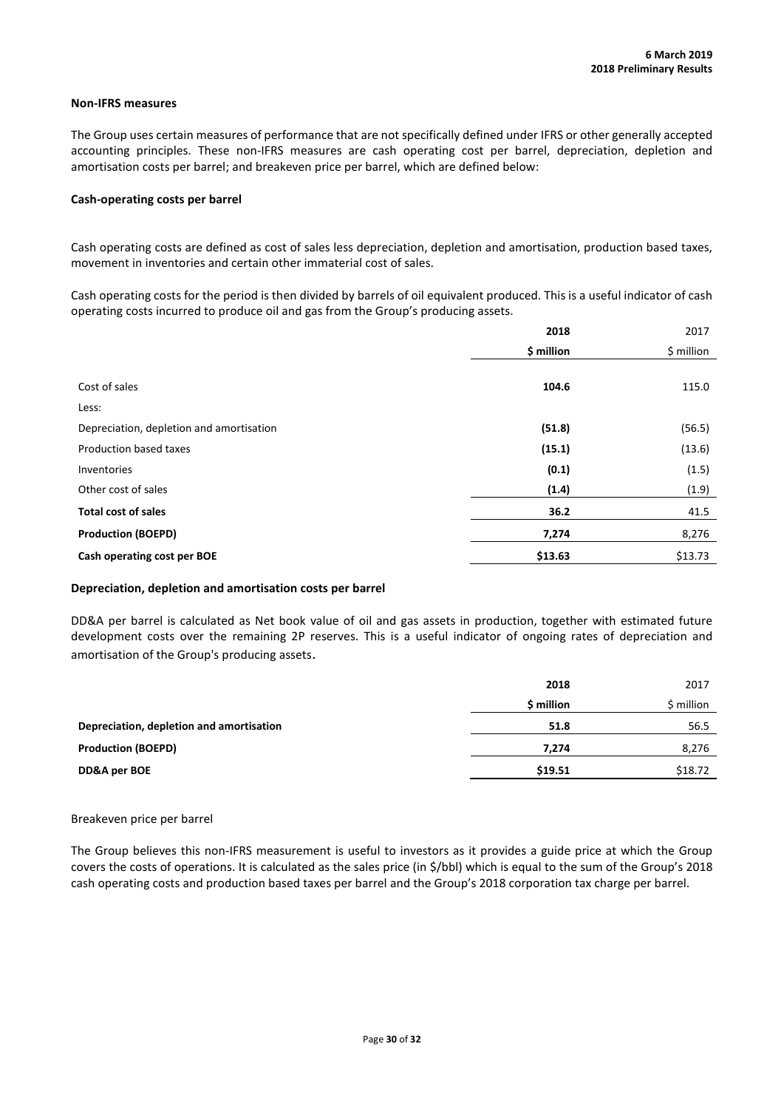### **Non-IFRS measures**

The Group uses certain measures of performance that are not specifically defined under IFRS or other generally accepted accounting principles. These non-IFRS measures are cash operating cost per barrel, depreciation, depletion and amortisation costs per barrel; and breakeven price per barrel, which are defined below:

### **Cash-operating costs per barrel**

Cash operating costs are defined as cost of sales less depreciation, depletion and amortisation, production based taxes, movement in inventories and certain other immaterial cost of sales.

Cash operating costs for the period is then divided by barrels of oil equivalent produced. This is a useful indicator of cash operating costs incurred to produce oil and gas from the Group's producing assets.

|                                          | 2018       | 2017       |
|------------------------------------------|------------|------------|
|                                          | \$ million | \$ million |
|                                          |            |            |
| Cost of sales                            | 104.6      | 115.0      |
| Less:                                    |            |            |
| Depreciation, depletion and amortisation | (51.8)     | (56.5)     |
| Production based taxes                   | (15.1)     | (13.6)     |
| Inventories                              | (0.1)      | (1.5)      |
| Other cost of sales                      | (1.4)      | (1.9)      |
| <b>Total cost of sales</b>               | 36.2       | 41.5       |
| <b>Production (BOEPD)</b>                | 7,274      | 8,276      |
| Cash operating cost per BOE              | \$13.63    | \$13.73    |

### **Depreciation, depletion and amortisation costs per barrel**

DD&A per barrel is calculated as Net book value of oil and gas assets in production, together with estimated future development costs over the remaining 2P reserves. This is a useful indicator of ongoing rates of depreciation and amortisation of the Group's producing assets.

|                                          | 2018       | 2017       |
|------------------------------------------|------------|------------|
|                                          | \$ million | \$ million |
| Depreciation, depletion and amortisation | 51.8       | 56.5       |
| <b>Production (BOEPD)</b>                | 7,274      | 8,276      |
| DD&A per BOE                             | \$19.51    | \$18.72    |

#### Breakeven price per barrel

The Group believes this non-IFRS measurement is useful to investors as it provides a guide price at which the Group covers the costs of operations. It is calculated as the sales price (in \$/bbl) which is equal to the sum of the Group's 2018 cash operating costs and production based taxes per barrel and the Group's 2018 corporation tax charge per barrel.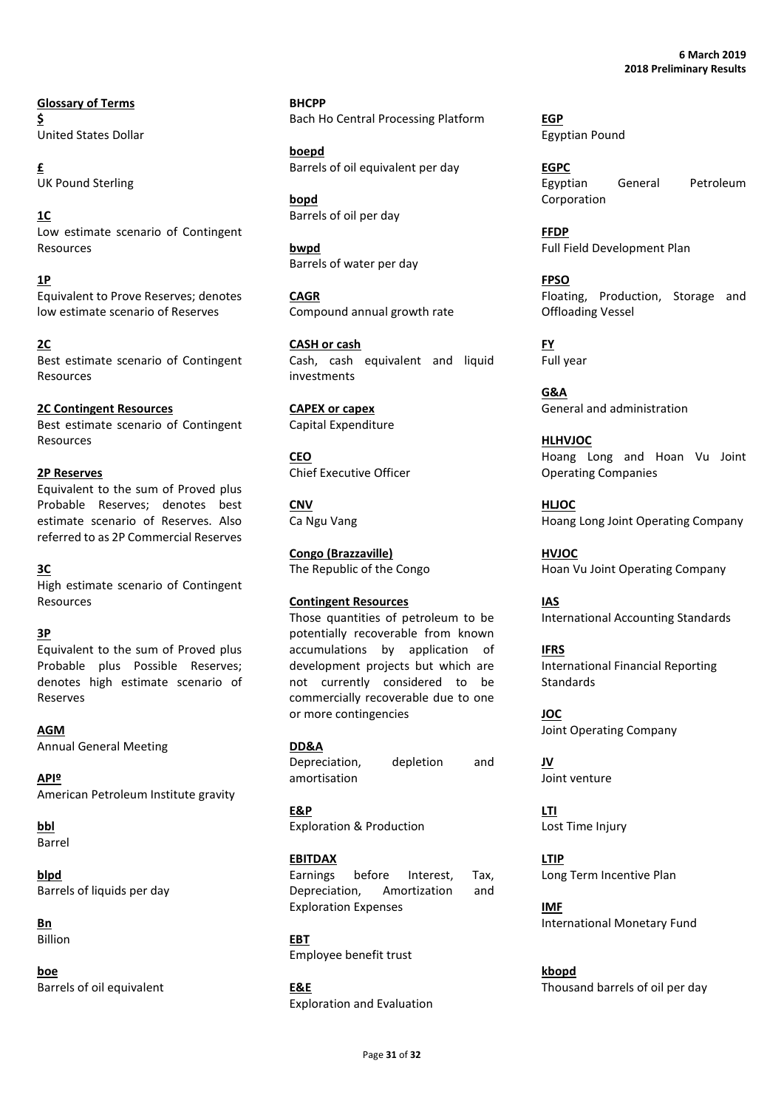**Glossary of Terms \$** United States Dollar

**£** UK Pound Sterling

**1C** Low estimate scenario of Contingent Resources

**1P**

Equivalent to Prove Reserves; denotes low estimate scenario of Reserves

**2C** Best estimate scenario of Contingent Resources

**2C Contingent Resources** Best estimate scenario of Contingent Resources

# **2P Reserves**

Equivalent to the sum of Proved plus Probable Reserves; denotes best estimate scenario of Reserves. Also referred to as 2P Commercial Reserves

# **3C**

High estimate scenario of Contingent Resources

# **3P**

Equivalent to the sum of Proved plus Probable plus Possible Reserves; denotes high estimate scenario of Reserves

**AGM** Annual General Meeting

**APIº** American Petroleum Institute gravity

**bbl** Barrel

**blpd** Barrels of liquids per day

**Bn** Billion

**boe** Barrels of oil equivalent **BHCPP** Bach Ho Central Processing Platform

**boepd** Barrels of oil equivalent per day

**bopd** Barrels of oil per day

**bwpd** Barrels of water per day

**CAGR** Compound annual growth rate

**CASH or cash** Cash, cash equivalent and liquid investments

**CAPEX or capex** Capital Expenditure

**CEO** Chief Executive Officer

**CNV** Ca Ngu Vang

**Congo (Brazzaville)** The Republic of the Congo

**Contingent Resources**

Those quantities of petroleum to be potentially recoverable from known accumulations by application of development projects but which are not currently considered to be commercially recoverable due to one or more contingencies

**DD&A**

Depreciation, depletion and amortisation

**E&P** Exploration & Production

**EBITDAX** Earnings before Interest, Tax, Depreciation, Amortization and Exploration Expenses

**EBT** Employee benefit trust

**E&E** Exploration and Evaluation **EGP** Egyptian Pound

**EGPC** Egyptian General Petroleum Corporation

**FFDP** Full Field Development Plan

**FPSO** Floating, Production, Storage and Offloading Vessel

**FY** Full year

**G&A** General and administration

**HLHVJOC** Hoang Long and Hoan Vu Joint Operating Companies

**HLJOC** Hoang Long Joint Operating Company

**HVJOC** Hoan Vu Joint Operating Company

**IAS** International Accounting Standards

**IFRS** International Financial Reporting Standards

**JOC** Joint Operating Company

**JV** Joint venture

**LTI** Lost Time Injury

**LTIP** Long Term Incentive Plan

**IMF** International Monetary Fund

**kbopd** Thousand barrels of oil per day